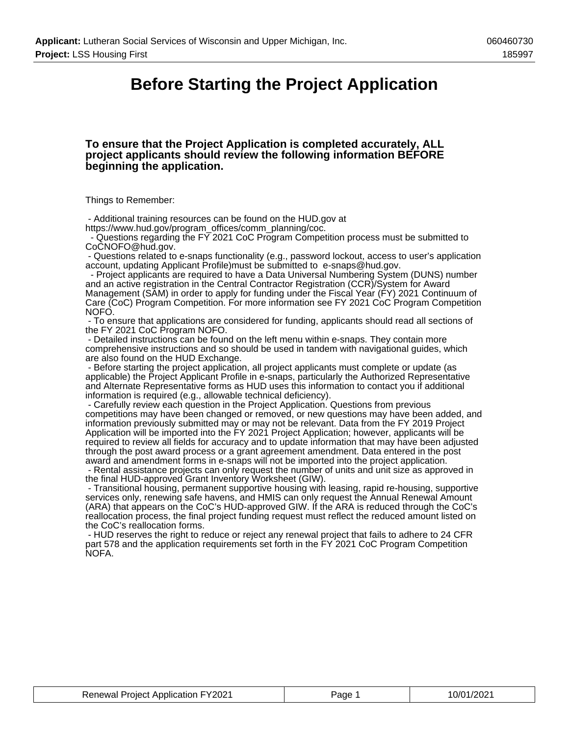### **Before Starting the Project Application**

#### **To ensure that the Project Application is completed accurately, ALL project applicants should review the following information BEFORE beginning the application.**

Things to Remember:

 - Additional training resources can be found on the HUD.gov at https://www.hud.gov/program\_offices/comm\_planning/coc.

 - Questions regarding the FY 2021 CoC Program Competition process must be submitted to CoCNOFO@hud.gov.

 - Questions related to e-snaps functionality (e.g., password lockout, access to user's application account, updating Applicant Profile)must be submitted to e-snaps@hud.gov.

 - Project applicants are required to have a Data Universal Numbering System (DUNS) number and an active registration in the Central Contractor Registration (CCR)/System for Award Management (SAM) in order to apply for funding under the Fiscal Year (FY) 2021 Continuum of Care (CoC) Program Competition. For more information see FY 2021 CoC Program Competition NOFO.

 - To ensure that applications are considered for funding, applicants should read all sections of the FY 2021 CoC Program NOFO.

 - Detailed instructions can be found on the left menu within e-snaps. They contain more comprehensive instructions and so should be used in tandem with navigational guides, which are also found on the HUD Exchange.

 - Before starting the project application, all project applicants must complete or update (as applicable) the Project Applicant Profile in e-snaps, particularly the Authorized Representative and Alternate Representative forms as HUD uses this information to contact you if additional information is required (e.g., allowable technical deficiency).

 - Carefully review each question in the Project Application. Questions from previous competitions may have been changed or removed, or new questions may have been added, and information previously submitted may or may not be relevant. Data from the FY 2019 Project Application will be imported into the FY 2021 Project Application; however, applicants will be required to review all fields for accuracy and to update information that may have been adjusted through the post award process or a grant agreement amendment. Data entered in the post award and amendment forms in e-snaps will not be imported into the project application.

 - Rental assistance projects can only request the number of units and unit size as approved in the final HUD-approved Grant Inventory Worksheet (GIW).

 - Transitional housing, permanent supportive housing with leasing, rapid re-housing, supportive services only, renewing safe havens, and HMIS can only request the Annual Renewal Amount (ARA) that appears on the CoC's HUD-approved GIW. If the ARA is reduced through the CoC's reallocation process, the final project funding request must reflect the reduced amount listed on the CoC's reallocation forms.

 - HUD reserves the right to reduce or reject any renewal project that fails to adhere to 24 CFR part 578 and the application requirements set forth in the FY 2021 CoC Program Competition NOFA.

| <b>Renewal Project Application FY2021</b> | Page | 10/01/2021 |
|-------------------------------------------|------|------------|
|-------------------------------------------|------|------------|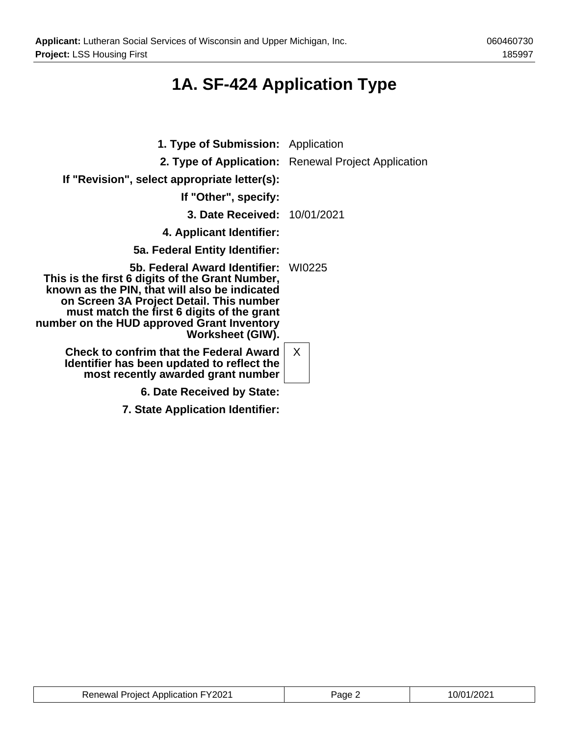# **1A. SF-424 Application Type**

| <b>1. Type of Submission:</b> Application                                                                                                                                                                                                                                                                   |                                                     |
|-------------------------------------------------------------------------------------------------------------------------------------------------------------------------------------------------------------------------------------------------------------------------------------------------------------|-----------------------------------------------------|
|                                                                                                                                                                                                                                                                                                             | 2. Type of Application: Renewal Project Application |
| If "Revision", select appropriate letter(s):                                                                                                                                                                                                                                                                |                                                     |
| If "Other", specify:                                                                                                                                                                                                                                                                                        |                                                     |
| <b>3. Date Received: 10/01/2021</b>                                                                                                                                                                                                                                                                         |                                                     |
| 4. Applicant Identifier:                                                                                                                                                                                                                                                                                    |                                                     |
| 5a. Federal Entity Identifier:                                                                                                                                                                                                                                                                              |                                                     |
| <b>5b. Federal Award Identifier: WI0225</b><br>This is the first 6 digits of the Grant Number,<br>known as the PIN, that will also be indicated<br>on Screen 3A Project Detail. This number<br>must match the first 6 digits of the grant<br>number on the HUD approved Grant Inventory<br>Worksheet (GIW). |                                                     |
| <b>Check to confrim that the Federal Award</b><br>Identifier has been updated to reflect the<br>most recently awarded grant number                                                                                                                                                                          | $\mathsf{X}$                                        |
| 6. Date Received by State:                                                                                                                                                                                                                                                                                  |                                                     |
| 7. State Application Identifier:                                                                                                                                                                                                                                                                            |                                                     |

| <b>Renewal Project Application FY2021</b> | Page 2 | 10/01/2021 |
|-------------------------------------------|--------|------------|
|-------------------------------------------|--------|------------|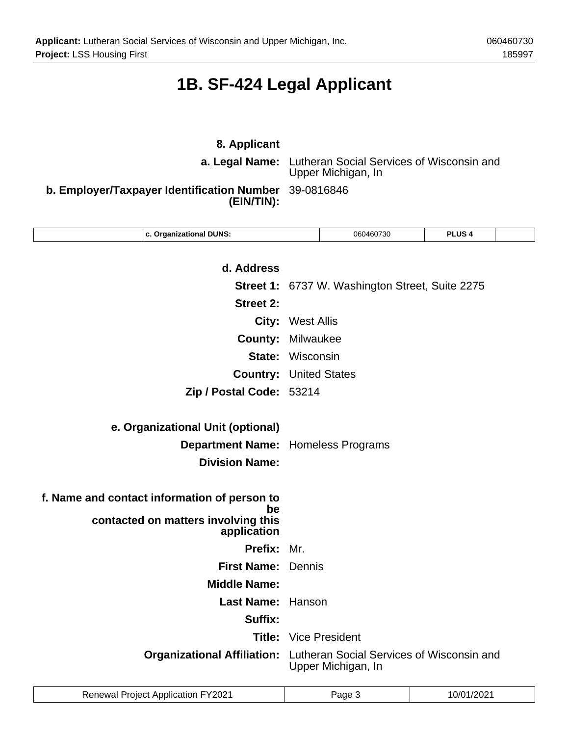**contacted on matters involving this**

**application**

**Middle Name:**

**Prefix:** Mr.

**First Name:** Dennis

**Last Name:** Hanson

**Suffix:**

# **1B. SF-424 Legal Applicant**

| 8. Applicant<br>b. Employer/Taxpayer Identification Number<br>(EIN/TIN):                                                                                | 39-0816846              | a. Legal Name: Lutheran Social Services of Wisconsin and<br>Upper Michigan, In |              |
|---------------------------------------------------------------------------------------------------------------------------------------------------------|-------------------------|--------------------------------------------------------------------------------|--------------|
| c. Organizational DUNS:                                                                                                                                 |                         | 060460730                                                                      | <b>PLUS4</b> |
| d. Address<br><b>Street 2:</b><br><b>County: Milwaukee</b><br><b>State: Wisconsin</b><br><b>Country: United States</b><br>Zip / Postal Code: 53214      | <b>City: West Allis</b> | <b>Street 1:</b> 6737 W. Washington Street, Suite 2275                         |              |
| e. Organizational Unit (optional)<br><b>Department Name:</b> Homeless Programs<br><b>Division Name:</b><br>f. Name and contact information of person to |                         |                                                                                |              |

**Title:** Vice President **Organizational Affiliation:** Lutheran Social Services of Wisconsin and Upper Michigan, In

| <b>Renewal Project Application FY2021</b> | Paαe | 10/01/2021 |
|-------------------------------------------|------|------------|
|-------------------------------------------|------|------------|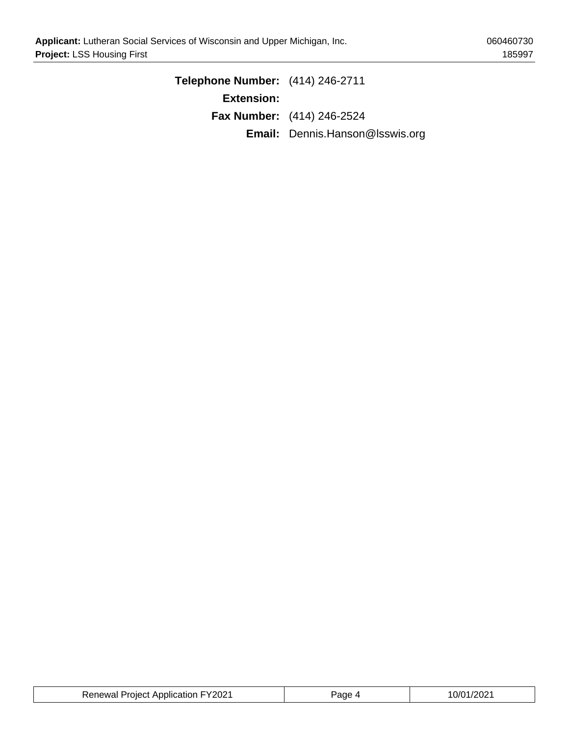| <b>Telephone Number:</b> (414) 246-2711 |                                        |
|-----------------------------------------|----------------------------------------|
| <b>Extension:</b>                       |                                        |
|                                         | <b>Fax Number:</b> (414) 246-2524      |
|                                         | <b>Email:</b> Dennis.Hanson@Isswis.org |

| <b>Renewal Project Application FY2021</b> | Page | 10/01/2021 |
|-------------------------------------------|------|------------|
|-------------------------------------------|------|------------|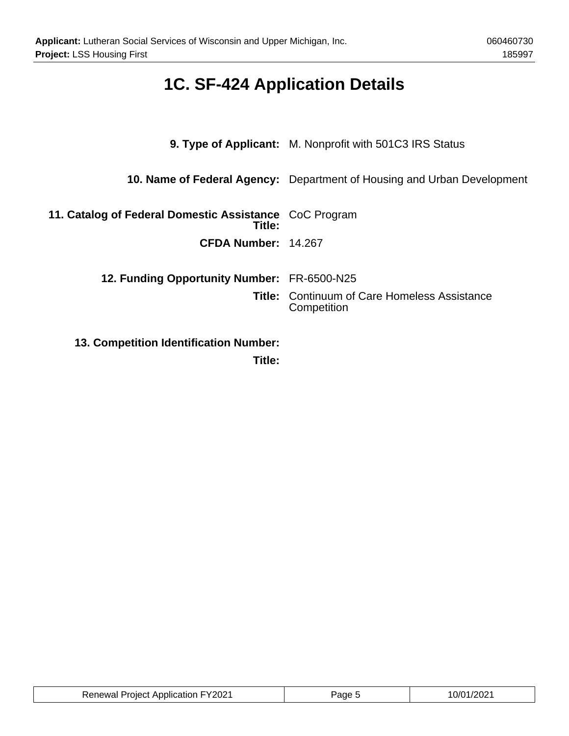# **1C. SF-424 Application Details**

|                                                                  | <b>9. Type of Applicant:</b> M. Nonprofit with 501C3 IRS Status         |
|------------------------------------------------------------------|-------------------------------------------------------------------------|
|                                                                  | 10. Name of Federal Agency: Department of Housing and Urban Development |
| 11. Catalog of Federal Domestic Assistance CoC Program<br>Title: |                                                                         |
| CFDA Number: 14.267                                              |                                                                         |
| 12. Funding Opportunity Number: FR-6500-N25                      |                                                                         |
|                                                                  | <b>Title: Continuum of Care Homeless Assistance</b><br>Competition      |
| <b>13. Competition Identification Number:</b>                    |                                                                         |

**Title:**

| <b>Renewal Project Application FY2021</b> | Page : | $\sim$ $\sim$ |
|-------------------------------------------|--------|---------------|
|-------------------------------------------|--------|---------------|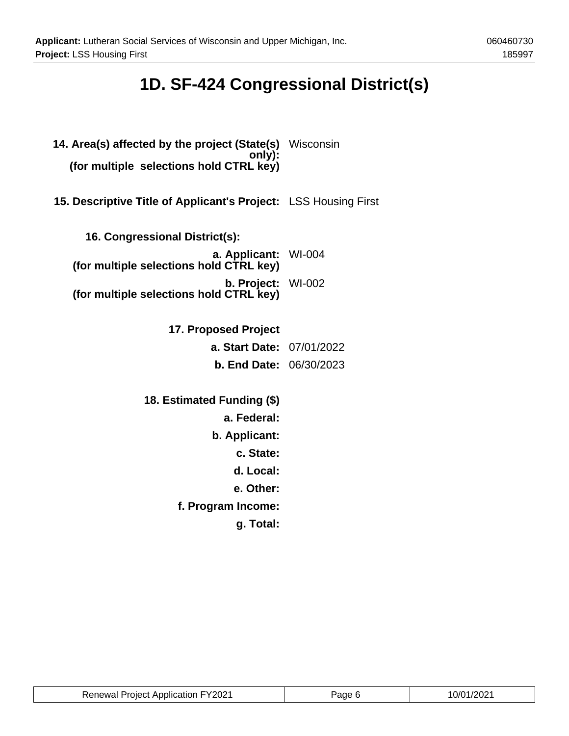# **1D. SF-424 Congressional District(s)**

**14. Area(s) affected by the project (State(s)** Wisconsin **only): (for multiple selections hold CTRL key) 15. Descriptive Title of Applicant's Project:** LSS Housing First **16. Congressional District(s): a. Applicant:** WI-004 **(for multiple selections hold CTRL key) b. Project: (for multiple selections hold CTRL key)** WI-002 **17. Proposed Project a. Start Date:** 07/01/2022 **b. End Date:** 06/30/2023 **18. Estimated Funding (\$) a. Federal: b. Applicant: c. State: d. Local: e. Other: f. Program Income: g. Total:**

| <b>Renewal Project Application FY2021</b> | Page 6 | 10/01/2021 |
|-------------------------------------------|--------|------------|
|-------------------------------------------|--------|------------|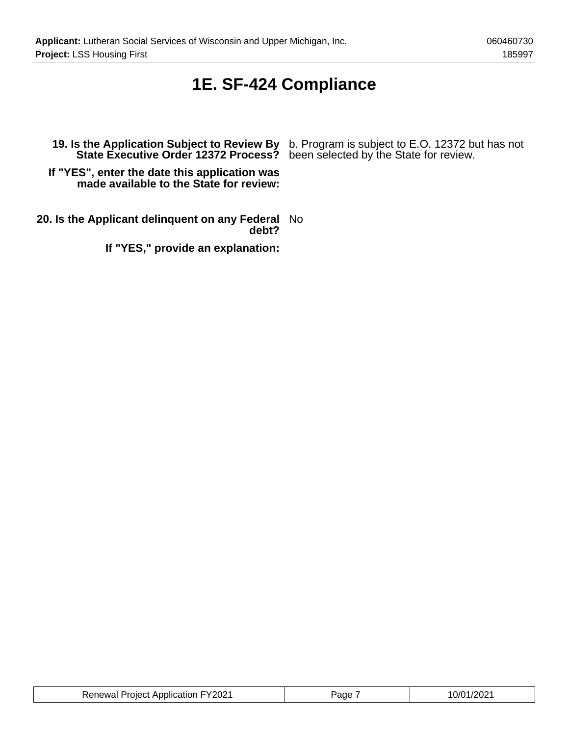### **1E. SF-424 Compliance**

**State Executive Order 12372 Process?** been selected by the State for review.

**19. Is the Application Subject to Review By** b. Program is subject to E.O. 12372 but has not

**If "YES", enter the date this application was made available to the State for review:**

**20. Is the Applicant delinquent on any Federal** No **debt?**

**If "YES," provide an explanation:**

| <b>Renewal Project Application FY2021</b> | Page | 10/01/2021 |
|-------------------------------------------|------|------------|
|-------------------------------------------|------|------------|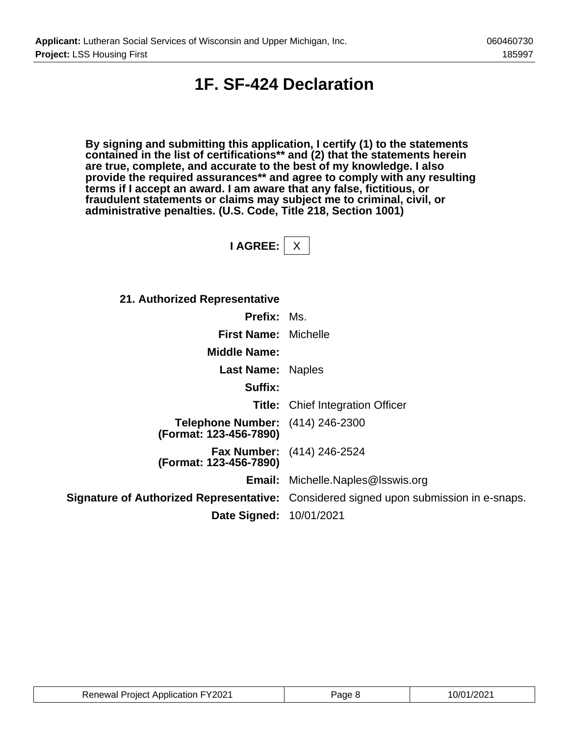### **1F. SF-424 Declaration**

**By signing and submitting this application, I certify (1) to the statements contained in the list of certifications\*\* and (2) that the statements herein are true, complete, and accurate to the best of my knowledge. I also provide the required assurances\*\* and agree to comply with any resulting terms if I accept an award. I am aware that any false, fictitious, or fraudulent statements or claims may subject me to criminal, civil, or administrative penalties. (U.S. Code, Title 218, Section 1001)**

**I AGREE:** X

**21. Authorized Representative**

| <b>Prefix: Ms.</b>                                                |                                                                                              |
|-------------------------------------------------------------------|----------------------------------------------------------------------------------------------|
| <b>First Name: Michelle</b>                                       |                                                                                              |
| <b>Middle Name:</b>                                               |                                                                                              |
| <b>Last Name: Naples</b>                                          |                                                                                              |
| Suffix:                                                           |                                                                                              |
|                                                                   | <b>Title:</b> Chief Integration Officer                                                      |
| <b>Telephone Number:</b> (414) 246-2300<br>(Format: 123-456-7890) |                                                                                              |
| (Format: 123-456-7890)                                            | <b>Fax Number:</b> (414) 246-2524                                                            |
|                                                                   | <b>Email:</b> Michelle.Naples@Isswis.org                                                     |
|                                                                   | <b>Signature of Authorized Representative:</b> Considered signed upon submission in e-snaps. |
| <b>Date Signed: 10/01/2021</b>                                    |                                                                                              |

| <b>Renewal Project Application FY2021</b> | Page 8 | 10/01/2021 |
|-------------------------------------------|--------|------------|
|-------------------------------------------|--------|------------|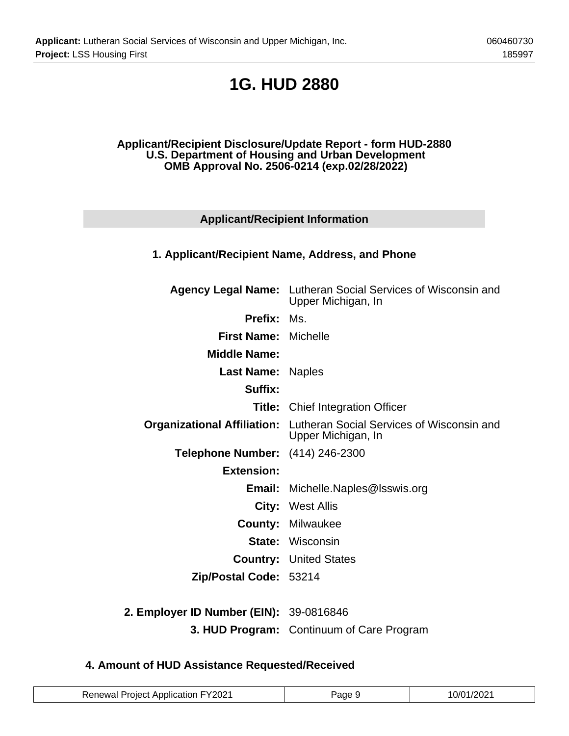# **1G. HUD 2880**

#### **Applicant/Recipient Disclosure/Update Report - form HUD-2880 U.S. Department of Housing and Urban Development OMB Approval No. 2506-0214 (exp.02/28/2022)**

### **Applicant/Recipient Information**

### **1. Applicant/Recipient Name, Address, and Phone**

|                                         | Agency Legal Name: Lutheran Social Services of Wisconsin and<br>Upper Michigan, In          |
|-----------------------------------------|---------------------------------------------------------------------------------------------|
| <b>Prefix: Ms.</b>                      |                                                                                             |
| <b>First Name: Michelle</b>             |                                                                                             |
| <b>Middle Name:</b>                     |                                                                                             |
| <b>Last Name: Naples</b>                |                                                                                             |
| Suffix:                                 |                                                                                             |
|                                         | <b>Title:</b> Chief Integration Officer                                                     |
|                                         | Organizational Affiliation: Lutheran Social Services of Wisconsin and<br>Upper Michigan, In |
| <b>Telephone Number:</b> (414) 246-2300 |                                                                                             |
| <b>Extension:</b>                       |                                                                                             |
|                                         | <b>Email:</b> Michelle.Naples@Isswis.org                                                    |
|                                         | <b>City: West Allis</b>                                                                     |
|                                         | <b>County: Milwaukee</b>                                                                    |
|                                         | <b>State: Wisconsin</b>                                                                     |
|                                         | <b>Country: United States</b>                                                               |
| Zip/Postal Code: 53214                  |                                                                                             |
| 2. Employer ID Number (EIN): 39-0816846 |                                                                                             |

**3. HUD Program:** Continuum of Care Program

### **4. Amount of HUD Assistance Requested/Received**

| <b>Renewal Project Application FY2021</b> | Page 9 | 10/01/2021 |
|-------------------------------------------|--------|------------|
|-------------------------------------------|--------|------------|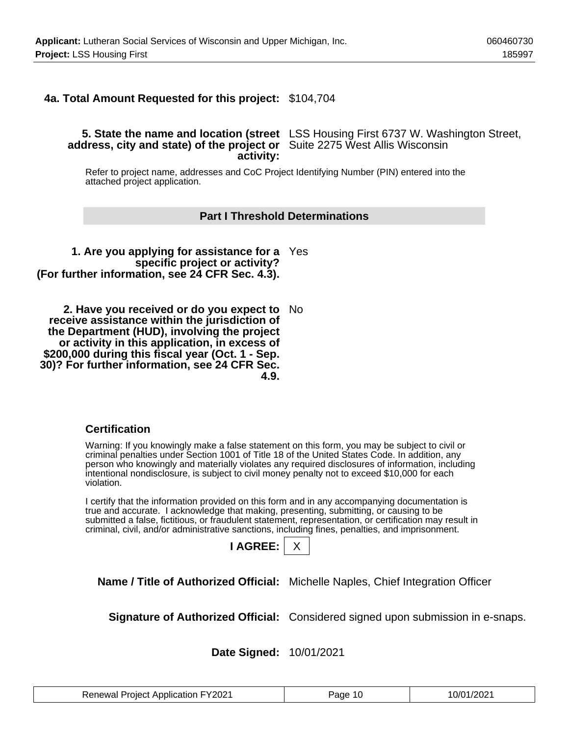#### **4a. Total Amount Requested for this project:** \$104,704

#### **5. State the name and location (street** LSS Housing First 6737 W. Washington Street, **address, city and state) of the project or** Suite 2275 West Allis Wisconsin **activity:**

Refer to project name, addresses and CoC Project Identifying Number (PIN) entered into the attached project application.

#### **Part I Threshold Determinations**

**1. Are you applying for assistance for a** Yes **specific project or activity? (For further information, see 24 CFR Sec. 4.3).**

**2. Have you received or do you expect to** No **receive assistance within the jurisdiction of the Department (HUD), involving the project or activity in this application, in excess of \$200,000 during this fiscal year (Oct. 1 - Sep. 30)? For further information, see 24 CFR Sec. 4.9.**

#### **Certification**

Warning: If you knowingly make a false statement on this form, you may be subject to civil or criminal penalties under Section 1001 of Title 18 of the United States Code. In addition, any person who knowingly and materially violates any required disclosures of information, including intentional nondisclosure, is subject to civil money penalty not to exceed \$10,000 for each violation.

I certify that the information provided on this form and in any accompanying documentation is true and accurate. I acknowledge that making, presenting, submitting, or causing to be submitted a false, fictitious, or fraudulent statement, representation, or certification may result in criminal, civil, and/or administrative sanctions, including fines, penalties, and imprisonment.

| <b>AGREE:</b> |  |
|---------------|--|
|---------------|--|

**Name / Title of Authorized Official:** Michelle Naples, Chief Integration Officer

**Signature of Authorized Official:** Considered signed upon submission in e-snaps.

**Date Signed:** 10/01/2021

| <b>Renewal Project Application FY2021</b> | Page 10 | 10/01/2021 |
|-------------------------------------------|---------|------------|
|-------------------------------------------|---------|------------|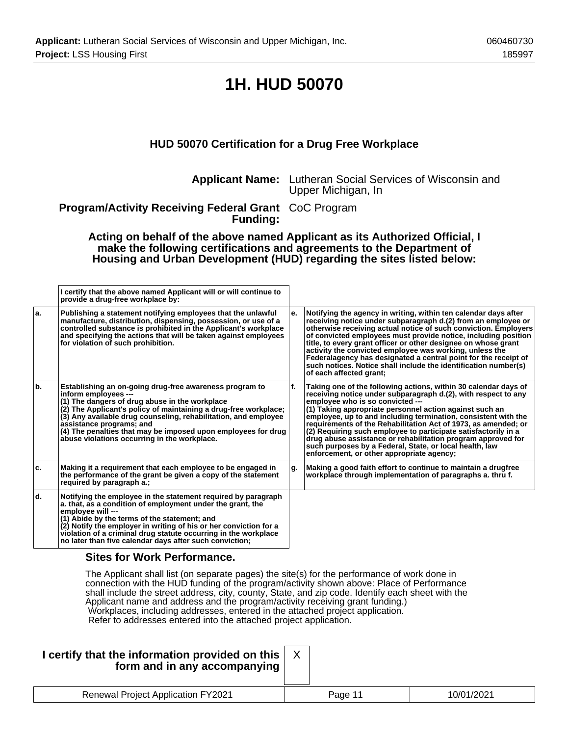### **1H. HUD 50070**

### **HUD 50070 Certification for a Drug Free Workplace**

**Applicant Name:** Lutheran Social Services of Wisconsin and Upper Michigan, In

#### **Program/Activity Receiving Federal Grant** CoC Program **Funding:**

**Acting on behalf of the above named Applicant as its Authorized Official, I make the following certifications and agreements to the Department of Housing and Urban Development (HUD) regarding the sites listed below:**

|     | I certify that the above named Applicant will or will continue to<br>provide a drug-free workplace by:                                                                                                                                                                                                                                                                                                                |    |                                                                                                                                                                                                                                                                                                                                                                                                                                                                                                                                                                                                                |
|-----|-----------------------------------------------------------------------------------------------------------------------------------------------------------------------------------------------------------------------------------------------------------------------------------------------------------------------------------------------------------------------------------------------------------------------|----|----------------------------------------------------------------------------------------------------------------------------------------------------------------------------------------------------------------------------------------------------------------------------------------------------------------------------------------------------------------------------------------------------------------------------------------------------------------------------------------------------------------------------------------------------------------------------------------------------------------|
| ۱a. | Publishing a statement notifying employees that the unlawful<br>manufacture, distribution, dispensing, possession, or use of a<br>controlled substance is prohibited in the Applicant's workplace<br>and specifying the actions that will be taken against employees<br>for violation of such prohibition.                                                                                                            | e. | Notifying the agency in writing, within ten calendar days after<br>receiving notice under subparagraph d.(2) from an employee or<br>otherwise receiving actual notice of such conviction. Employers<br>of convicted employees must provide notice, including position<br>title, to every grant officer or other designee on whose grant<br>activity the convicted employee was working, unless the<br>Federalagency has designated a central point for the receipt of<br>such notices. Notice shall include the identification number(s)<br>of each affected grant;                                            |
| ١b. | Establishing an on-going drug-free awareness program to<br>inform employees ---<br>(1) The dangers of drug abuse in the workplace<br>(2) The Applicant's policy of maintaining a drug-free workplace;<br>(3) Any available drug counseling, rehabilitation, and employee<br>assistance programs; and<br>(4) The penalties that may be imposed upon employees for drug<br>abuse violations occurring in the workplace. | f. | Taking one of the following actions, within 30 calendar days of<br>receiving notice under subparagraph d.(2), with respect to any<br>employee who is so convicted ---<br>(1) Taking appropriate personnel action against such an<br>employee, up to and including termination, consistent with the<br>requirements of the Rehabilitation Act of 1973, as amended; or<br>(2) Requiring such employee to participate satisfactorily in a<br>drug abuse assistance or rehabilitation program approved for<br>such purposes by a Federal, State, or local health, law<br>enforcement, or other appropriate agency; |
| ∣c. | Making it a requirement that each employee to be engaged in<br>the performance of the grant be given a copy of the statement<br>required by paragraph a.;                                                                                                                                                                                                                                                             | g. | Making a good faith effort to continue to maintain a drugfree<br>workplace through implementation of paragraphs a. thru f.                                                                                                                                                                                                                                                                                                                                                                                                                                                                                     |
| ld. | Notifying the employee in the statement required by paragraph<br>a. that, as a condition of employment under the grant, the<br>employee will ---<br>(1) Abide by the terms of the statement; and<br>(2) Notify the employer in writing of his or her conviction for a<br>violation of a criminal drug statute occurring in the workplace<br>no later than five calendar days after such conviction;                   |    |                                                                                                                                                                                                                                                                                                                                                                                                                                                                                                                                                                                                                |

#### **Sites for Work Performance.**

The Applicant shall list (on separate pages) the site(s) for the performance of work done in connection with the HUD funding of the program/activity shown above: Place of Performance shall include the street address, city, county, State, and zip code. Identify each sheet with the Applicant name and address and the program/activity receiving grant funding.) Workplaces, including addresses, entered in the attached project application. Refer to addresses entered into the attached project application.

| I certify that the information provided on this $\parallel$<br>form and in any accompanying |         |            |
|---------------------------------------------------------------------------------------------|---------|------------|
| <b>Renewal Project Application FY2021</b>                                                   | Page 11 | 10/01/2021 |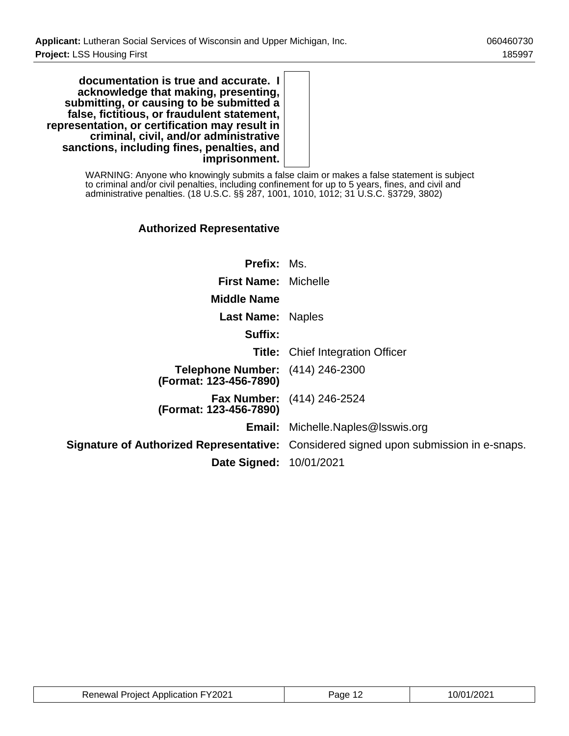**documentation is true and accurate. I acknowledge that making, presenting, submitting, or causing to be submitted a false, fictitious, or fraudulent statement, representation, or certification may result in criminal, civil, and/or administrative sanctions, including fines, penalties, and imprisonment.**

> WARNING: Anyone who knowingly submits a false claim or makes a false statement is subject to criminal and/or civil penalties, including confinement for up to 5 years, fines, and civil and administrative penalties. (18 U.S.C. §§ 287, 1001, 1010, 1012; 31 U.S.C. §3729, 3802)

### **Authorized Representative**

| <b>Prefix: Ms.</b>                                                |                                                                                              |
|-------------------------------------------------------------------|----------------------------------------------------------------------------------------------|
| <b>First Name: Michelle</b>                                       |                                                                                              |
| <b>Middle Name</b>                                                |                                                                                              |
| <b>Last Name: Naples</b>                                          |                                                                                              |
| Suffix:                                                           |                                                                                              |
|                                                                   | <b>Title:</b> Chief Integration Officer                                                      |
| <b>Telephone Number:</b> (414) 246-2300<br>(Format: 123-456-7890) |                                                                                              |
| (Format: 123-456-7890)                                            | <b>Fax Number:</b> (414) 246-2524                                                            |
|                                                                   | <b>Email:</b> Michelle.Naples@Isswis.org                                                     |
|                                                                   | <b>Signature of Authorized Representative:</b> Considered signed upon submission in e-snaps. |
| <b>Date Signed: 10/01/2021</b>                                    |                                                                                              |

| <b>Renewal Project Application FY2021</b> | Page 12 | 10/01/2021 |
|-------------------------------------------|---------|------------|
|-------------------------------------------|---------|------------|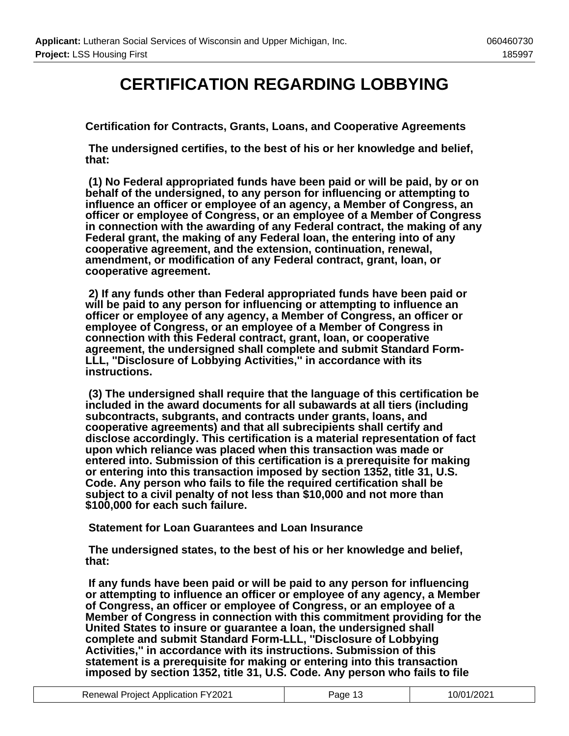### **CERTIFICATION REGARDING LOBBYING**

**Certification for Contracts, Grants, Loans, and Cooperative Agreements**

 **The undersigned certifies, to the best of his or her knowledge and belief, that:**

 **(1) No Federal appropriated funds have been paid or will be paid, by or on behalf of the undersigned, to any person for influencing or attempting to influence an officer or employee of an agency, a Member of Congress, an officer or employee of Congress, or an employee of a Member of Congress in connection with the awarding of any Federal contract, the making of any Federal grant, the making of any Federal loan, the entering into of any cooperative agreement, and the extension, continuation, renewal, amendment, or modification of any Federal contract, grant, loan, or cooperative agreement.**

 **2) If any funds other than Federal appropriated funds have been paid or will be paid to any person for influencing or attempting to influence an officer or employee of any agency, a Member of Congress, an officer or employee of Congress, or an employee of a Member of Congress in connection with this Federal contract, grant, loan, or cooperative agreement, the undersigned shall complete and submit Standard Form-LLL, ''Disclosure of Lobbying Activities,'' in accordance with its instructions.**

 **(3) The undersigned shall require that the language of this certification be included in the award documents for all subawards at all tiers (including subcontracts, subgrants, and contracts under grants, loans, and cooperative agreements) and that all subrecipients shall certify and disclose accordingly. This certification is a material representation of fact upon which reliance was placed when this transaction was made or entered into. Submission of this certification is a prerequisite for making or entering into this transaction imposed by section 1352, title 31, U.S. Code. Any person who fails to file the required certification shall be subject to a civil penalty of not less than \$10,000 and not more than \$100,000 for each such failure.**

 **Statement for Loan Guarantees and Loan Insurance**

 **The undersigned states, to the best of his or her knowledge and belief, that:**

 **If any funds have been paid or will be paid to any person for influencing or attempting to influence an officer or employee of any agency, a Member of Congress, an officer or employee of Congress, or an employee of a Member of Congress in connection with this commitment providing for the United States to insure or guarantee a loan, the undersigned shall complete and submit Standard Form-LLL, ''Disclosure of Lobbying Activities,'' in accordance with its instructions. Submission of this statement is a prerequisite for making or entering into this transaction imposed by section 1352, title 31, U.S. Code. Any person who fails to file**

| <b>Renewal Project Application FY2021</b> | Page 13 | 10/01/2021 |
|-------------------------------------------|---------|------------|
|-------------------------------------------|---------|------------|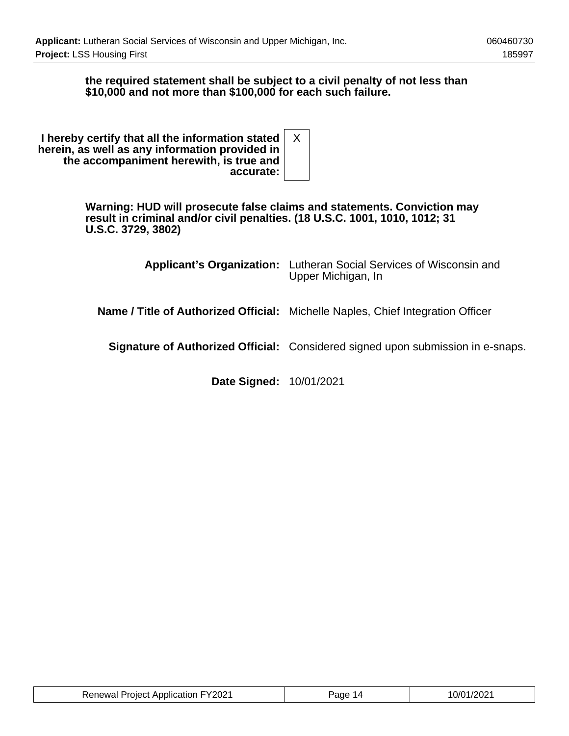#### **the required statement shall be subject to a civil penalty of not less than \$10,000 and not more than \$100,000 for each such failure.**

| I hereby certify that all the information stated<br>herein, as well as any information provided in<br>the accompaniment herewith, is true and | X |
|-----------------------------------------------------------------------------------------------------------------------------------------------|---|
| accurate:                                                                                                                                     |   |

**Warning: HUD will prosecute false claims and statements. Conviction may result in criminal and/or civil penalties. (18 U.S.C. 1001, 1010, 1012; 31 U.S.C. 3729, 3802)**

|                         | Applicant's Organization: Lutheran Social Services of Wisconsin and<br>Upper Michigan, In |
|-------------------------|-------------------------------------------------------------------------------------------|
|                         | <b>Name / Title of Authorized Official:</b> Michelle Naples, Chief Integration Officer    |
|                         | Signature of Authorized Official: Considered signed upon submission in e-snaps.           |
| Date Signed: 10/01/2021 |                                                                                           |

| <b>Renewal Project Application FY2021</b> | Page 14 | 10/01/2021 |
|-------------------------------------------|---------|------------|
|-------------------------------------------|---------|------------|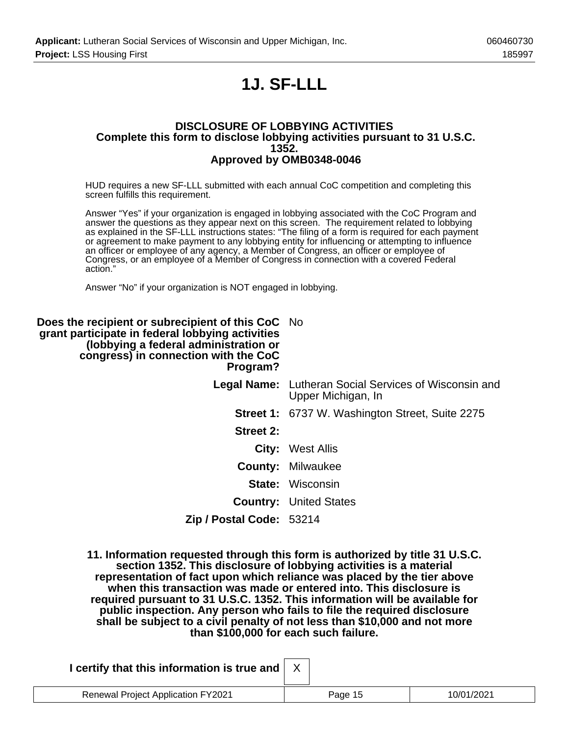# **1J. SF-LLL**

#### **DISCLOSURE OF LOBBYING ACTIVITIES Complete this form to disclose lobbying activities pursuant to 31 U.S.C. 1352. Approved by OMB0348-0046**

HUD requires a new SF-LLL submitted with each annual CoC competition and completing this screen fulfills this requirement.

Answer "Yes" if your organization is engaged in lobbying associated with the CoC Program and answer the questions as they appear next on this screen. The requirement related to lobbying as explained in the SF-LLL instructions states: "The filing of a form is required for each payment or agreement to make payment to any lobbying entity for influencing or attempting to influence an officer or employee of any agency, a Member of Congress, an officer or employee of Congress, or an employee of a Member of Congress in connection with a covered Federal action."

Answer "No" if your organization is NOT engaged in lobbying.

| Does the recipient or subrecipient of this CoC No                                                            |
|--------------------------------------------------------------------------------------------------------------|
| <b>Legal Name:</b> Lutheran Social Services of Wisconsin and<br>Upper Michigan, In                           |
| <b>Street 1: 6737 W. Washington Street, Suite 2275</b>                                                       |
|                                                                                                              |
| <b>City: West Allis</b>                                                                                      |
| <b>County: Milwaukee</b>                                                                                     |
| <b>State:</b> Wisconsin                                                                                      |
| <b>Country: United States</b>                                                                                |
| Zip / Postal Code: 53214                                                                                     |
| grant participate in federal lobbying activities<br>congress) in connection with the CoC<br><b>Street 2:</b> |

**11. Information requested through this form is authorized by title 31 U.S.C. section 1352. This disclosure of lobbying activities is a material representation of fact upon which reliance was placed by the tier above when this transaction was made or entered into. This disclosure is required pursuant to 31 U.S.C. 1352. This information will be available for public inspection. Any person who fails to file the required disclosure shall be subject to a civil penalty of not less than \$10,000 and not more than \$100,000 for each such failure.**

| $\mu$ certify that this information is true and $\parallel$ X |         |            |
|---------------------------------------------------------------|---------|------------|
| <b>Renewal Project Application FY2021</b>                     | Page 15 | 10/01/2021 |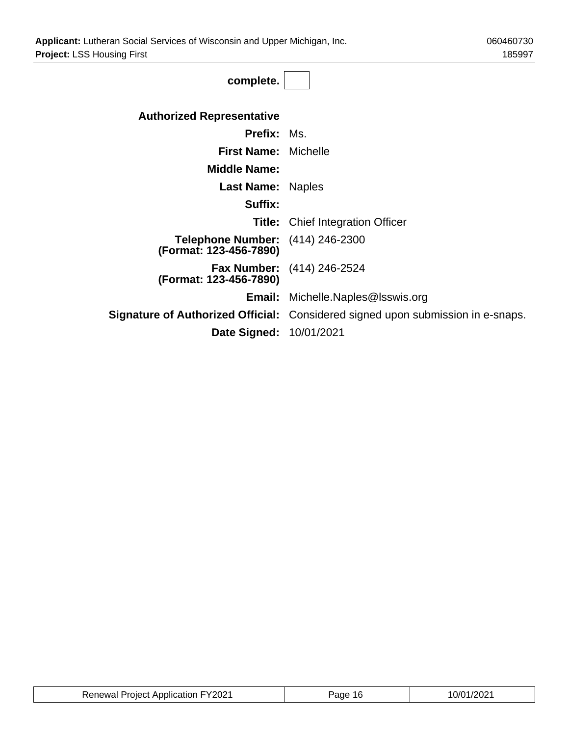| complete.                                                         |                                                                                        |
|-------------------------------------------------------------------|----------------------------------------------------------------------------------------|
| <b>Authorized Representative</b>                                  |                                                                                        |
| <b>Prefix: Ms.</b>                                                |                                                                                        |
| <b>First Name: Michelle</b>                                       |                                                                                        |
| Middle Name:                                                      |                                                                                        |
| <b>Last Name: Naples</b>                                          |                                                                                        |
| Suffix:                                                           |                                                                                        |
|                                                                   | <b>Title:</b> Chief Integration Officer                                                |
| <b>Telephone Number:</b> (414) 246-2300<br>(Format: 123-456-7890) |                                                                                        |
| (Format: 123-456-7890)                                            | <b>Fax Number:</b> (414) 246-2524                                                      |
| Email:                                                            | Michelle.Naples@Isswis.org                                                             |
|                                                                   | <b>Signature of Authorized Official:</b> Considered signed upon submission in e-snaps. |
| <b>Date Signed: 10/01/2021</b>                                    |                                                                                        |

| <b>Renewal Project Application FY2021</b> | Page 16 | 10/01/2021 |
|-------------------------------------------|---------|------------|
|-------------------------------------------|---------|------------|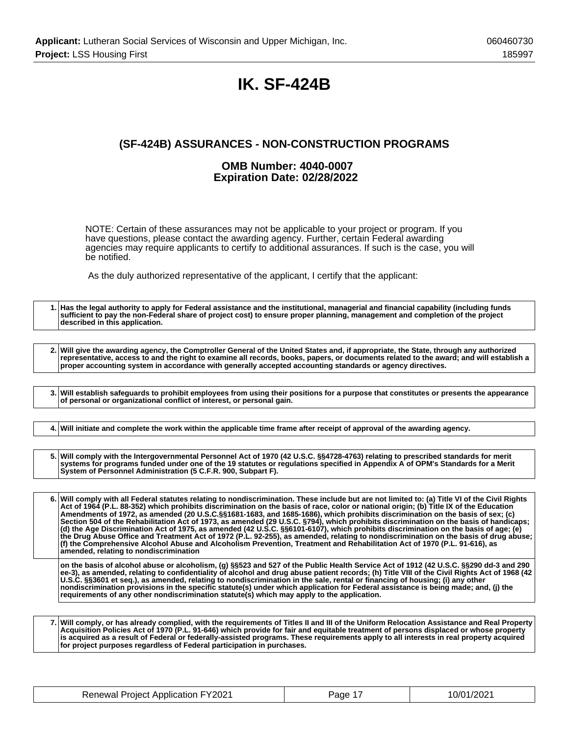### **IK. SF-424B**

### **(SF-424B) ASSURANCES - NON-CONSTRUCTION PROGRAMS**

#### **OMB Number: 4040-0007 Expiration Date: 02/28/2022**

NOTE: Certain of these assurances may not be applicable to your project or program. If you have questions, please contact the awarding agency. Further, certain Federal awarding agencies may require applicants to certify to additional assurances. If such is the case, you will be notified.

As the duly authorized representative of the applicant, I certify that the applicant:

**1. Has the legal authority to apply for Federal assistance and the institutional, managerial and financial capability (including funds sufficient to pay the non-Federal share of project cost) to ensure proper planning, management and completion of the project described in this application.**

**2. Will give the awarding agency, the Comptroller General of the United States and, if appropriate, the State, through any authorized representative, access to and the right to examine all records, books, papers, or documents related to the award; and will establish a proper accounting system in accordance with generally accepted accounting standards or agency directives.**

**3. Will establish safeguards to prohibit employees from using their positions for a purpose that constitutes or presents the appearance of personal or organizational conflict of interest, or personal gain.**

**4. Will initiate and complete the work within the applicable time frame after receipt of approval of the awarding agency.**

**5. Will comply with the Intergovernmental Personnel Act of 1970 (42 U.S.C. §§4728-4763) relating to prescribed standards for merit systems for programs funded under one of the 19 statutes or regulations specified in Appendix A of OPM's Standards for a Merit System of Personnel Administration (5 C.F.R. 900, Subpart F).**

**6. Will comply with all Federal statutes relating to nondiscrimination. These include but are not limited to: (a) Title VI of the Civil Rights Act of 1964 (P.L. 88-352) which prohibits discrimination on the basis of race, color or national origin; (b) Title IX of the Education Amendments of 1972, as amended (20 U.S.C.§§1681-1683, and 1685-1686), which prohibits discrimination on the basis of sex; (c) Section 504 of the Rehabilitation Act of 1973, as amended (29 U.S.C. §794), which prohibits discrimination on the basis of handicaps; (d) the Age Discrimination Act of 1975, as amended (42 U.S.C. §§6101-6107), which prohibits discrimination on the basis of age; (e) the Drug Abuse Office and Treatment Act of 1972 (P.L. 92-255), as amended, relating to nondiscrimination on the basis of drug abuse; (f) the Comprehensive Alcohol Abuse and Alcoholism Prevention, Treatment and Rehabilitation Act of 1970 (P.L. 91-616), as amended, relating to nondiscrimination**

**on the basis of alcohol abuse or alcoholism, (g) §§523 and 527 of the Public Health Service Act of 1912 (42 U.S.C. §§290 dd-3 and 290 ee-3), as amended, relating to confidentiality of alcohol and drug abuse patient records; (h) Title VIII of the Civil Rights Act of 1968 (42 U.S.C. §§3601 et seq.), as amended, relating to nondiscrimination in the sale, rental or financing of housing; (i) any other nondiscrimination provisions in the specific statute(s) under which application for Federal assistance is being made; and, (j) the requirements of any other nondiscrimination statute(s) which may apply to the application.**

**7. Will comply, or has already complied, with the requirements of Titles II and III of the Uniform Relocation Assistance and Real Property Acquisition Policies Act of 1970 (P.L. 91-646) which provide for fair and equitable treatment of persons displaced or whose property is acquired as a result of Federal or federally-assisted programs. These requirements apply to all interests in real property acquired for project purposes regardless of Federal participation in purchases.**

| <b>Renewal Project Application FY2021</b> | Page 1 <sup>-</sup> | 10/01/2021 |
|-------------------------------------------|---------------------|------------|
|-------------------------------------------|---------------------|------------|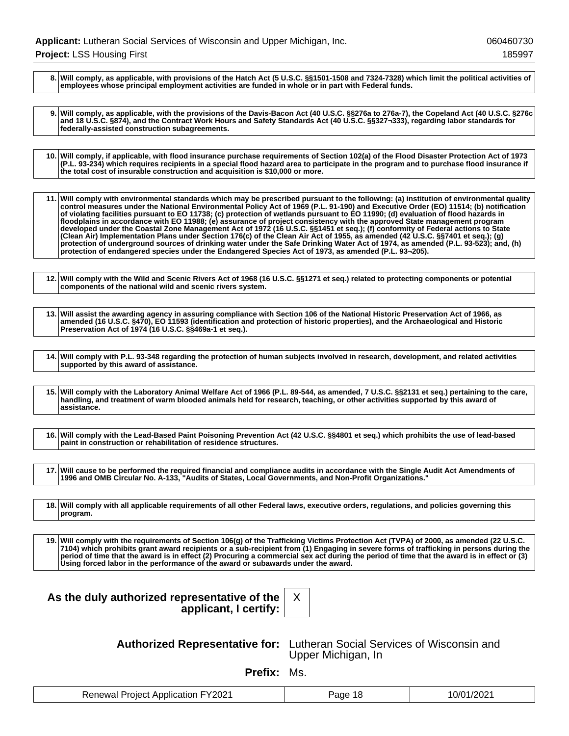**8. Will comply, as applicable, with provisions of the Hatch Act (5 U.S.C. §§1501-1508 and 7324-7328) which limit the political activities of employees whose principal employment activities are funded in whole or in part with Federal funds.**

**9. Will comply, as applicable, with the provisions of the Davis-Bacon Act (40 U.S.C. §§276a to 276a-7), the Copeland Act (40 U.S.C. §276c and 18 U.S.C. §874), and the Contract Work Hours and Safety Standards Act (40 U.S.C. §§327¬333), regarding labor standards for federally-assisted construction subagreements.**

**10. Will comply, if applicable, with flood insurance purchase requirements of Section 102(a) of the Flood Disaster Protection Act of 1973 (P.L. 93-234) which requires recipients in a special flood hazard area to participate in the program and to purchase flood insurance if the total cost of insurable construction and acquisition is \$10,000 or more.**

**11. Will comply with environmental standards which may be prescribed pursuant to the following: (a) institution of environmental quality control measures under the National Environmental Policy Act of 1969 (P.L. 91-190) and Executive Order (EO) 11514; (b) notification of violating facilities pursuant to EO 11738; (c) protection of wetlands pursuant to EO 11990; (d) evaluation of flood hazards in floodplains in accordance with EO 11988; (e) assurance of project consistency with the approved State management program developed under the Coastal Zone Management Act of 1972 (16 U.S.C. §§1451 et seq.); (f) conformity of Federal actions to State (Clean Air) Implementation Plans under Section 176(c) of the Clean Air Act of 1955, as amended (42 U.S.C. §§7401 et seq.); (g) protection of underground sources of drinking water under the Safe Drinking Water Act of 1974, as amended (P.L. 93-523); and, (h) protection of endangered species under the Endangered Species Act of 1973, as amended (P.L. 93¬205).**

**12. Will comply with the Wild and Scenic Rivers Act of 1968 (16 U.S.C. §§1271 et seq.) related to protecting components or potential components of the national wild and scenic rivers system.**

**13. Will assist the awarding agency in assuring compliance with Section 106 of the National Historic Preservation Act of 1966, as amended (16 U.S.C. §470), EO 11593 (identification and protection of historic properties), and the Archaeological and Historic Preservation Act of 1974 (16 U.S.C. §§469a-1 et seq.).**

**14. Will comply with P.L. 93-348 regarding the protection of human subjects involved in research, development, and related activities supported by this award of assistance.**

**15. Will comply with the Laboratory Animal Welfare Act of 1966 (P.L. 89-544, as amended, 7 U.S.C. §§2131 et seq.) pertaining to the care, handling, and treatment of warm blooded animals held for research, teaching, or other activities supported by this award of assistance.**

**16. Will comply with the Lead-Based Paint Poisoning Prevention Act (42 U.S.C. §§4801 et seq.) which prohibits the use of lead-based paint in construction or rehabilitation of residence structures.**

**17. Will cause to be performed the required financial and compliance audits in accordance with the Single Audit Act Amendments of 1996 and OMB Circular No. A-133, "Audits of States, Local Governments, and Non-Profit Organizations."**

**18. Will comply with all applicable requirements of all other Federal laws, executive orders, regulations, and policies governing this program.**

**19. Will comply with the requirements of Section 106(g) of the Trafficking Victims Protection Act (TVPA) of 2000, as amended (22 U.S.C. 7104) which prohibits grant award recipients or a sub-recipient from (1) Engaging in severe forms of trafficking in persons during the period of time that the award is in effect (2) Procuring a commercial sex act during the period of time that the award is in effect or (3) Using forced labor in the performance of the award or subawards under the award.**

X

| As the duly authorized representative of the $ $ |  |
|--------------------------------------------------|--|
| $applied$ nt, I certify:                         |  |

**Authorized Representative for:** Lutheran Social Services of Wisconsin and Upper Michigan, In

**Prefix:** Ms.

| <b>Renewal Project Application FY2021</b> | 1٤<br>Page | 10/01/2021 |
|-------------------------------------------|------------|------------|
|-------------------------------------------|------------|------------|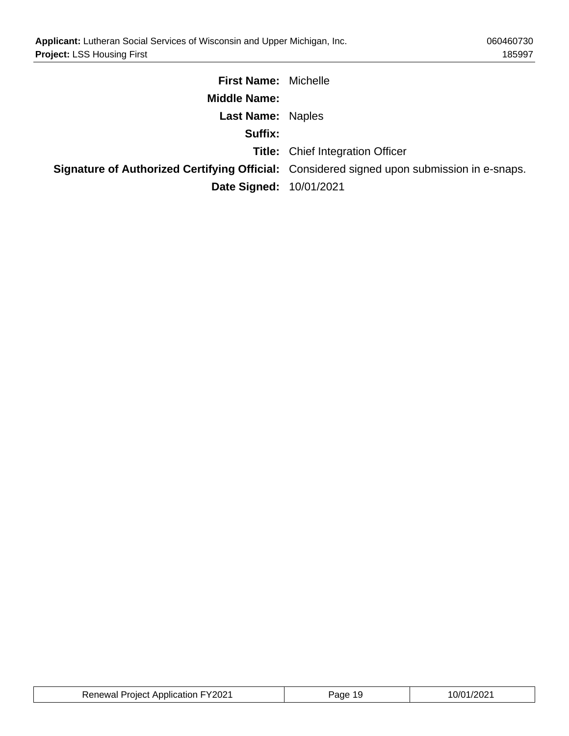| <b>First Name: Michelle</b>    |                                                                                                   |
|--------------------------------|---------------------------------------------------------------------------------------------------|
| <b>Middle Name:</b>            |                                                                                                   |
| <b>Last Name: Naples</b>       |                                                                                                   |
| Suffix:                        |                                                                                                   |
|                                | <b>Title:</b> Chief Integration Officer                                                           |
|                                | <b>Signature of Authorized Certifying Official:</b> Considered signed upon submission in e-snaps. |
| <b>Date Signed: 10/01/2021</b> |                                                                                                   |

| <b>Renewal Project Application FY2021</b> | Page | 10/01/2021 |
|-------------------------------------------|------|------------|
|-------------------------------------------|------|------------|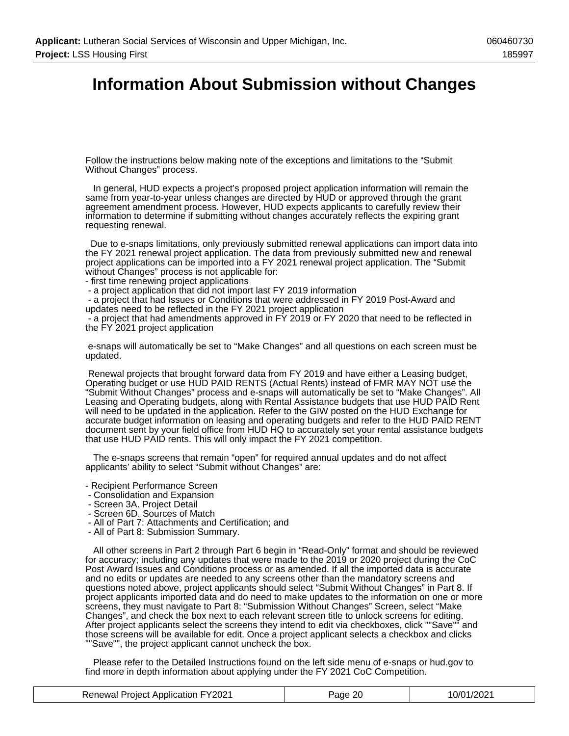### **Information About Submission without Changes**

Follow the instructions below making note of the exceptions and limitations to the "Submit Without Changes" process.

 In general, HUD expects a project's proposed project application information will remain the same from year-to-year unless changes are directed by HUD or approved through the grant agreement amendment process. However, HUD expects applicants to carefully review their information to determine if submitting without changes accurately reflects the expiring grant requesting renewal.

 Due to e-snaps limitations, only previously submitted renewal applications can import data into the FY 2021 renewal project application. The data from previously submitted new and renewal project applications can be imported into a FY 2021 renewal project application. The "Submit without Changes" process is not applicable for:

- first time renewing project applications
- a project application that did not import last FY 2019 information

 - a project that had Issues or Conditions that were addressed in FY 2019 Post-Award and updates need to be reflected in the FY 2021 project application

 - a project that had amendments approved in FY 2019 or FY 2020 that need to be reflected in the FY 2021 project application

 e-snaps will automatically be set to "Make Changes" and all questions on each screen must be updated.

 Renewal projects that brought forward data from FY 2019 and have either a Leasing budget, Operating budget or use HUD PAID RENTS (Actual Rents) instead of FMR MAY NOT use the "Submit Without Changes" process and e-snaps will automatically be set to "Make Changes". All Leasing and Operating budgets, along with Rental Assistance budgets that use HUD PAID Rent will need to be updated in the application. Refer to the GIW posted on the HUD Exchange for accurate budget information on leasing and operating budgets and refer to the HUD PAID RENT document sent by your field office from HUD HQ to accurately set your rental assistance budgets that use HUD PAID rents. This will only impact the FY 2021 competition.

 The e-snaps screens that remain "open" for required annual updates and do not affect applicants' ability to select "Submit without Changes" are:

- Recipient Performance Screen
- Consolidation and Expansion
- Screen 3A. Project Detail
- Screen 6D. Sources of Match
- All of Part 7: Attachments and Certification; and
- All of Part 8: Submission Summary.

 All other screens in Part 2 through Part 6 begin in "Read-Only" format and should be reviewed for accuracy; including any updates that were made to the 2019 or 2020 project during the CoC Post Award Issues and Conditions process or as amended. If all the imported data is accurate and no edits or updates are needed to any screens other than the mandatory screens and questions noted above, project applicants should select "Submit Without Changes" in Part 8. If project applicants imported data and do need to make updates to the information on one or more screens, they must navigate to Part 8: "Submission Without Changes" Screen, select "Make Changes", and check the box next to each relevant screen title to unlock screens for editing. After project applicants select the screens they intend to edit via checkboxes, click ""Save"" and those screens will be available for edit. Once a project applicant selects a checkbox and clicks ""Save"", the project applicant cannot uncheck the box.

 Please refer to the Detailed Instructions found on the left side menu of e-snaps or hud.gov to find more in depth information about applying under the FY 2021 CoC Competition.

| 10/01/2021<br><b>Renewal Project Application FY2021</b><br>Page 20 |
|--------------------------------------------------------------------|
|--------------------------------------------------------------------|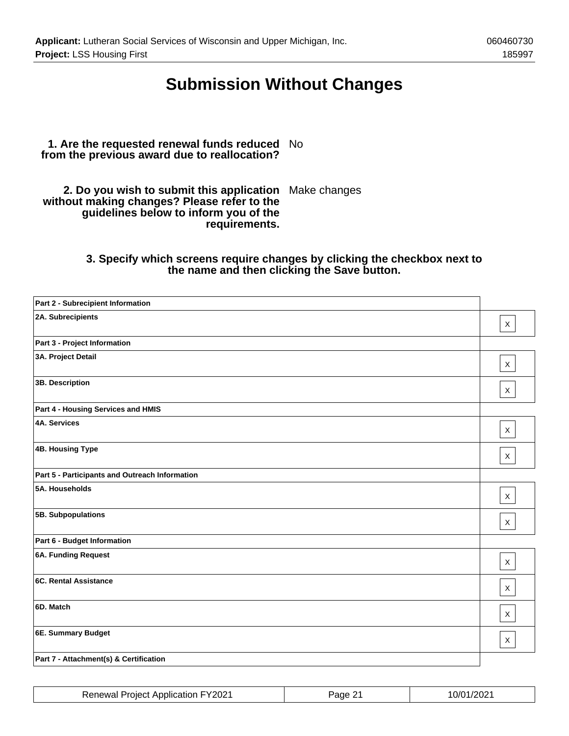# **Submission Without Changes**

#### **1. Are the requested renewal funds reduced** No **from the previous award due to reallocation?**

**2. Do you wish to submit this application** Make changes **without making changes? Please refer to the guidelines below to inform you of the requirements.**

#### **3. Specify which screens require changes by clicking the checkbox next to the name and then clicking the Save button.**

| Part 2 - Subrecipient Information              |              |
|------------------------------------------------|--------------|
| 2A. Subrecipients                              | $\mathsf X$  |
| Part 3 - Project Information                   |              |
| 3A. Project Detail                             | $\mathsf{X}$ |
| 3B. Description                                | X            |
| Part 4 - Housing Services and HMIS             |              |
| <b>4A. Services</b>                            | $\mathsf{X}$ |
| <b>4B. Housing Type</b>                        | X            |
| Part 5 - Participants and Outreach Information |              |
| 5A. Households                                 | X            |
| 5B. Subpopulations                             | $\mathsf X$  |
| Part 6 - Budget Information                    |              |
| <b>6A. Funding Request</b>                     | X            |
| 6C. Rental Assistance                          | X            |
| 6D. Match                                      | X            |
| 6E. Summary Budget                             | X            |
| Part 7 - Attachment(s) & Certification         |              |
|                                                |              |

| <b>Renewal Project Application FY2021</b> | $P$ aqe $\geq$ | 10/01/2021 |
|-------------------------------------------|----------------|------------|
|-------------------------------------------|----------------|------------|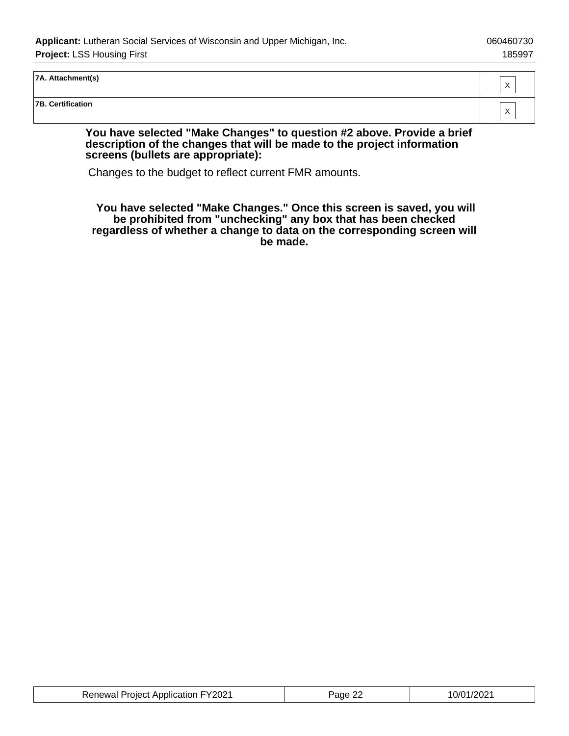| $ 7A.$ Attachment(s) | $\checkmark$<br>⌒ |
|----------------------|-------------------|
| 7B. Certification    | $\times$          |

**You have selected "Make Changes" to question #2 above. Provide a brief description of the changes that will be made to the project information screens (bullets are appropriate):**

Changes to the budget to reflect current FMR amounts.

 **You have selected "Make Changes." Once this screen is saved, you will be prohibited from "unchecking" any box that has been checked regardless of whether a change to data on the corresponding screen will be made.**

| <b>Renewal Project Application FY2021</b> | Page 2 <sup>-</sup> | 10/01/2021 |
|-------------------------------------------|---------------------|------------|
|-------------------------------------------|---------------------|------------|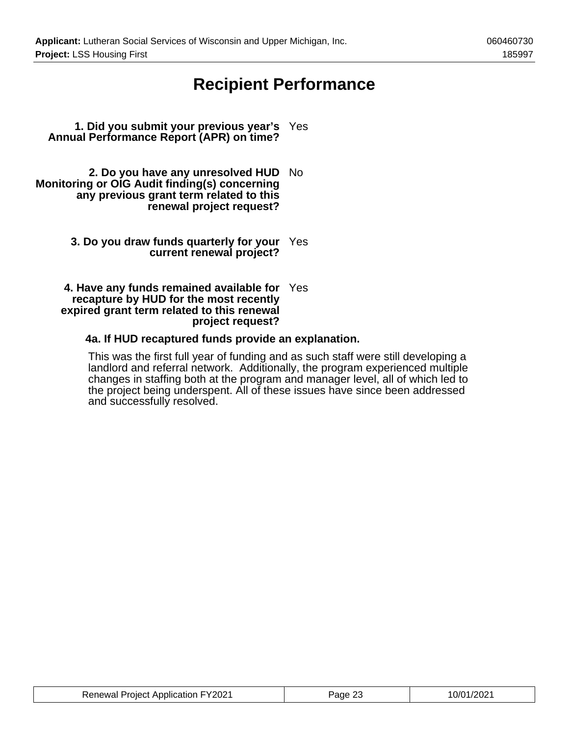### **Recipient Performance**

**1. Did you submit your previous year's** Yes **Annual Performance Report (APR) on time?**

**2. Do you have any unresolved HUD** No **Monitoring or OIG Audit finding(s) concerning any previous grant term related to this renewal project request?**

> **3. Do you draw funds quarterly for your** Yes **current renewal project?**

#### **4. Have any funds remained available for** Yes **recapture by HUD for the most recently expired grant term related to this renewal project request?**

#### **4a. If HUD recaptured funds provide an explanation.**

This was the first full year of funding and as such staff were still developing a landlord and referral network. Additionally, the program experienced multiple changes in staffing both at the program and manager level, all of which led to the project being underspent. All of these issues have since been addressed and successfully resolved.

| <b>Renewal Project Application FY2021</b> | Page 23 | 10/01/2021 |
|-------------------------------------------|---------|------------|
|-------------------------------------------|---------|------------|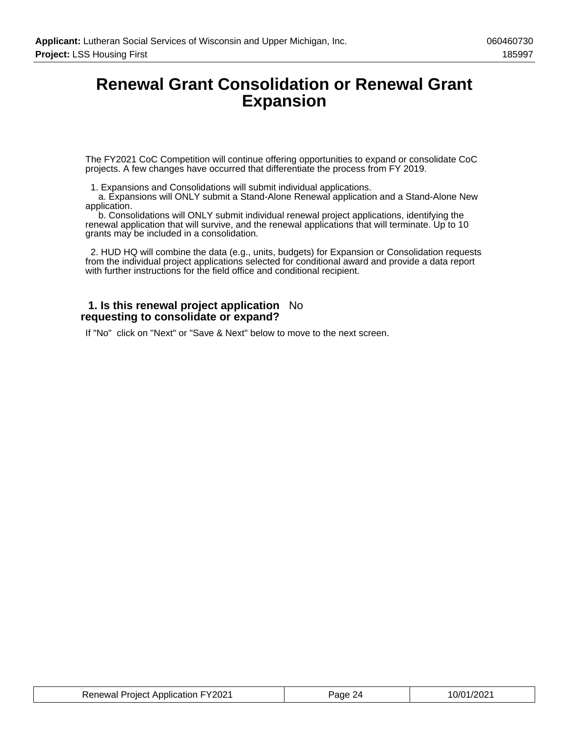### **Renewal Grant Consolidation or Renewal Grant Expansion**

The FY2021 CoC Competition will continue offering opportunities to expand or consolidate CoC projects. A few changes have occurred that differentiate the process from FY 2019.

1. Expansions and Consolidations will submit individual applications.

 a. Expansions will ONLY submit a Stand-Alone Renewal application and a Stand-Alone New application.

 b. Consolidations will ONLY submit individual renewal project applications, identifying the renewal application that will survive, and the renewal applications that will terminate. Up to 10 grants may be included in a consolidation.

 2. HUD HQ will combine the data (e.g., units, budgets) for Expansion or Consolidation requests from the individual project applications selected for conditional award and provide a data report with further instructions for the field office and conditional recipient.

#### **1. Is this renewal project application** No **requesting to consolidate or expand?**

If "No" click on "Next" or "Save & Next" below to move to the next screen.

| <b>Renewal Project Application FY2021</b> | Page 24 | 10/01/2021 |
|-------------------------------------------|---------|------------|
|-------------------------------------------|---------|------------|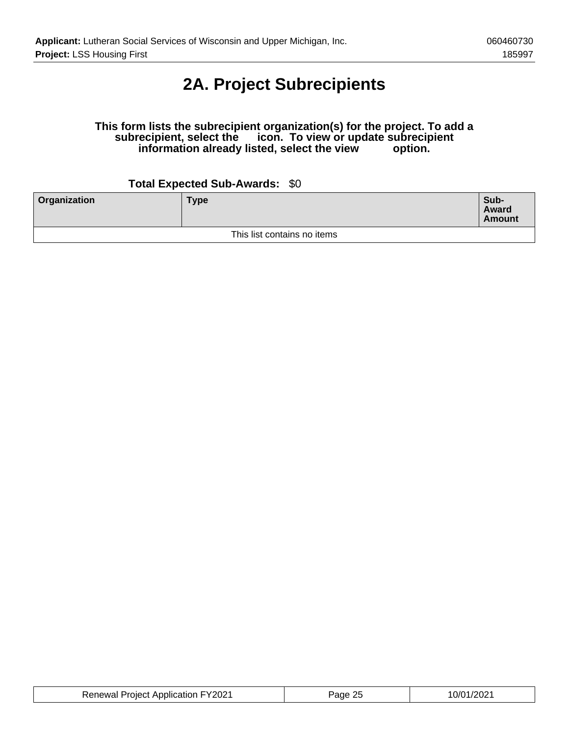# **2A. Project Subrecipients**

#### **This form lists the subrecipient organization(s) for the project. To add a subrecipient, select the icon. To view or update subrecipient information already listed, select the view option.**

### **Total Expected Sub-Awards:** \$0

| Organization | <b>Type</b>                 | Sub-<br>Award<br>Amount |
|--------------|-----------------------------|-------------------------|
|              | This list contains no items |                         |

| <b>Renewal Project Application FY2021</b> | Page 25 | 10/01/2021 |
|-------------------------------------------|---------|------------|
|-------------------------------------------|---------|------------|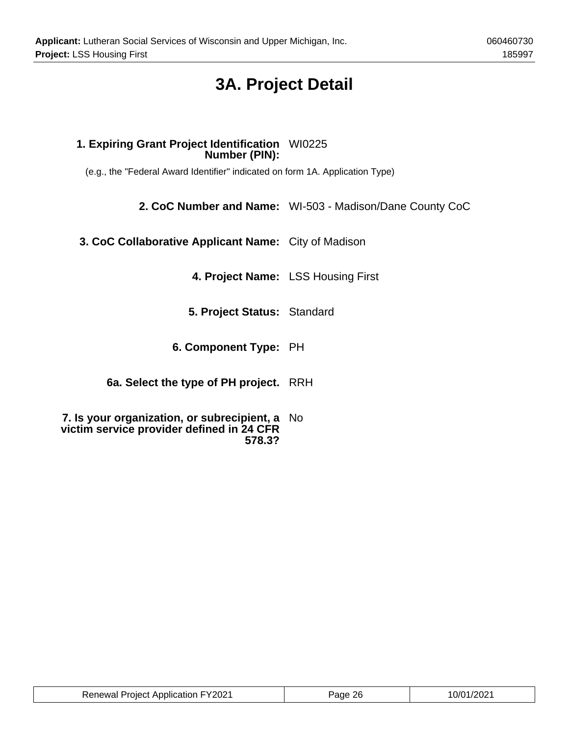# **3A. Project Detail**

### **1. Expiring Grant Project Identification** WI0225 **Number (PIN):**

(e.g., the "Federal Award Identifier" indicated on form 1A. Application Type)

**2. CoC Number and Name:** WI-503 - Madison/Dane County CoC

**3. CoC Collaborative Applicant Name:** City of Madison

**4. Project Name:** LSS Housing First

- **5. Project Status:** Standard
- **6. Component Type:** PH

**6a. Select the type of PH project.** RRH

**7. Is your organization, or subrecipient, a** No **victim service provider defined in 24 CFR 578.3?**

| <b>Renewal Project Application FY2021</b> | Page 26 | 10/01/2021 |
|-------------------------------------------|---------|------------|
|-------------------------------------------|---------|------------|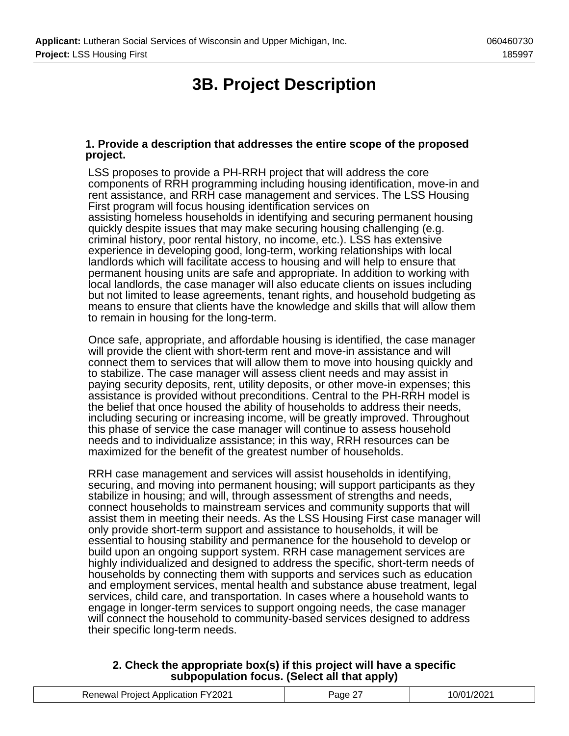# **3B. Project Description**

### **1. Provide a description that addresses the entire scope of the proposed project.**

LSS proposes to provide a PH-RRH project that will address the core components of RRH programming including housing identification, move-in and rent assistance, and RRH case management and services. The LSS Housing First program will focus housing identification services on assisting homeless households in identifying and securing permanent housing quickly despite issues that may make securing housing challenging (e.g. criminal history, poor rental history, no income, etc.). LSS has extensive experience in developing good, long-term, working relationships with local landlords which will facilitate access to housing and will help to ensure that permanent housing units are safe and appropriate. In addition to working with local landlords, the case manager will also educate clients on issues including but not limited to lease agreements, tenant rights, and household budgeting as means to ensure that clients have the knowledge and skills that will allow them to remain in housing for the long-term.

Once safe, appropriate, and affordable housing is identified, the case manager will provide the client with short-term rent and move-in assistance and will connect them to services that will allow them to move into housing quickly and to stabilize. The case manager will assess client needs and may assist in paying security deposits, rent, utility deposits, or other move-in expenses; this assistance is provided without preconditions. Central to the PH-RRH model is the belief that once housed the ability of households to address their needs, including securing or increasing income, will be greatly improved. Throughout this phase of service the case manager will continue to assess household needs and to individualize assistance; in this way, RRH resources can be maximized for the benefit of the greatest number of households.

RRH case management and services will assist households in identifying, securing, and moving into permanent housing; will support participants as they stabilize in housing; and will, through assessment of strengths and needs, connect households to mainstream services and community supports that will assist them in meeting their needs. As the LSS Housing First case manager will only provide short-term support and assistance to households, it will be essential to housing stability and permanence for the household to develop or build upon an ongoing support system. RRH case management services are highly individualized and designed to address the specific, short-term needs of households by connecting them with supports and services such as education and employment services, mental health and substance abuse treatment, legal services, child care, and transportation. In cases where a household wants to engage in longer-term services to support ongoing needs, the case manager will connect the household to community-based services designed to address their specific long-term needs.

#### **2. Check the appropriate box(s) if this project will have a specific subpopulation focus. (Select all that apply)**

| <b>Renewal Project Application FY2021</b> | Page 21 | 10/01/2021 |
|-------------------------------------------|---------|------------|
|-------------------------------------------|---------|------------|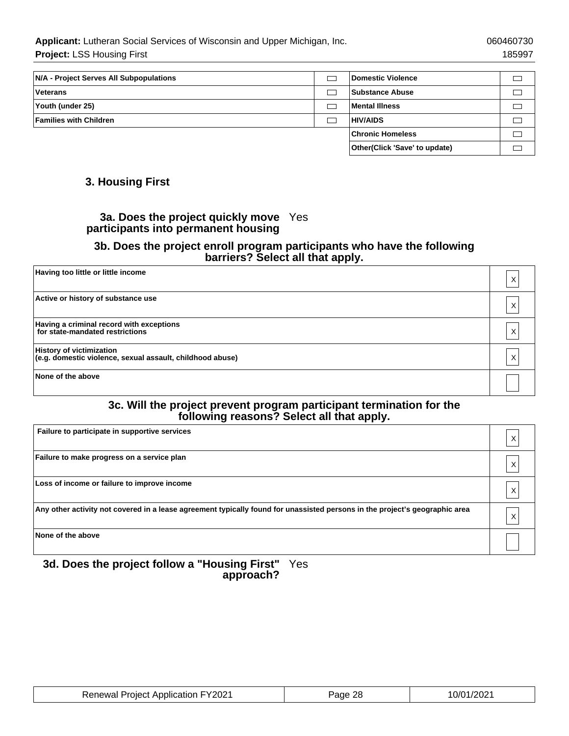| <b>N/A - Project Serves All Subpopulations</b> | Domestic Violence                     |  |
|------------------------------------------------|---------------------------------------|--|
| Veterans                                       | Substance Abuse                       |  |
| Youth (under 25)                               | Mental Illness                        |  |
| <b>Families with Children</b>                  | <b>HIV/AIDS</b>                       |  |
|                                                | <b>Chronic Homeless</b>               |  |
|                                                | <b>Other (Click 'Save' to update)</b> |  |

### **3. Housing First**

### **3a. Does the project quickly move** Yes **participants into permanent housing**

#### **3b. Does the project enroll program participants who have the following barriers? Select all that apply.**

| Having too little or little income                                                           | X |
|----------------------------------------------------------------------------------------------|---|
| Active or history of substance use                                                           | Χ |
| Having a criminal record with exceptions<br>for state-mandated restrictions                  | Χ |
| <b>History of victimization</b><br>(e.g. domestic violence, sexual assault, childhood abuse) | х |
| None of the above                                                                            |   |

#### **3c. Will the project prevent program participant termination for the following reasons? Select all that apply.**

| Failure to participate in supportive services                                                                               | X |
|-----------------------------------------------------------------------------------------------------------------------------|---|
| Failure to make progress on a service plan                                                                                  | X |
| Loss of income or failure to improve income                                                                                 | X |
| Any other activity not covered in a lease agreement typically found for unassisted persons in the project's geographic area | X |
| None of the above                                                                                                           |   |

#### **3d. Does the project follow a "Housing First"** Yes **approach?**

| <b>Renewal Project Application FY2021</b> | Page 28 | 10/01/2021 |
|-------------------------------------------|---------|------------|
|-------------------------------------------|---------|------------|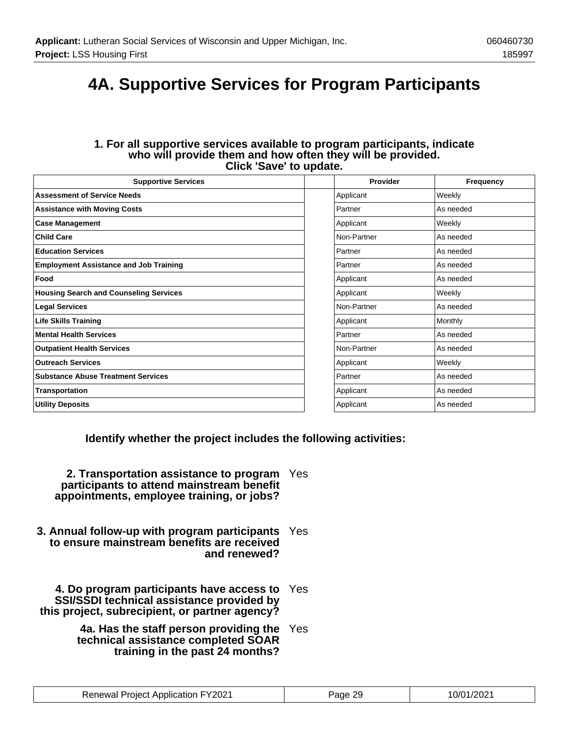# **4A. Supportive Services for Program Participants**

#### **1. For all supportive services available to program participants, indicate who will provide them and how often they will be provided. Click 'Save' to update.**

| <b>Supportive Services</b>                    | <b>Provider</b> | Frequency |
|-----------------------------------------------|-----------------|-----------|
| <b>Assessment of Service Needs</b>            | Applicant       | Weekly    |
| <b>Assistance with Moving Costs</b>           | Partner         | As needed |
| <b>Case Management</b>                        | Applicant       | Weekly    |
| <b>Child Care</b>                             | Non-Partner     | As needed |
| <b>Education Services</b>                     | Partner         | As needed |
| <b>Employment Assistance and Job Training</b> | Partner         | As needed |
| Food                                          | Applicant       | As needed |
| <b>Housing Search and Counseling Services</b> | Applicant       | Weekly    |
| <b>Legal Services</b>                         | Non-Partner     | As needed |
| <b>Life Skills Training</b>                   | Applicant       | Monthly   |
| <b>Mental Health Services</b>                 | Partner         | As needed |
| <b>Outpatient Health Services</b>             | Non-Partner     | As needed |
| <b>Outreach Services</b>                      | Applicant       | Weekly    |
| <b>Substance Abuse Treatment Services</b>     | Partner         | As needed |
| <b>Transportation</b>                         | Applicant       | As needed |
| <b>Utility Deposits</b>                       | Applicant       | As needed |

**Identify whether the project includes the following activities:**

| 2. Transportation assistance to program<br>participants to attend mainstream benefit<br>appointments, employee training, or jobs?            | Yes |
|----------------------------------------------------------------------------------------------------------------------------------------------|-----|
| 3. Annual follow-up with program participants<br>to ensure mainstream benefits are received<br>and renewed?                                  | Yes |
| 4. Do program participants have access to Yes<br>SSI/SSDI technical assistance provided by<br>this project, subrecipient, or partner agency? |     |
| 4a. Has the staff person providing the<br>technical assistance completed SOAR<br>training in the past 24 months?                             | Yes |

| <b>Renewal Project Application FY2021</b> | Page 29 | 10/01/2021 |
|-------------------------------------------|---------|------------|
|-------------------------------------------|---------|------------|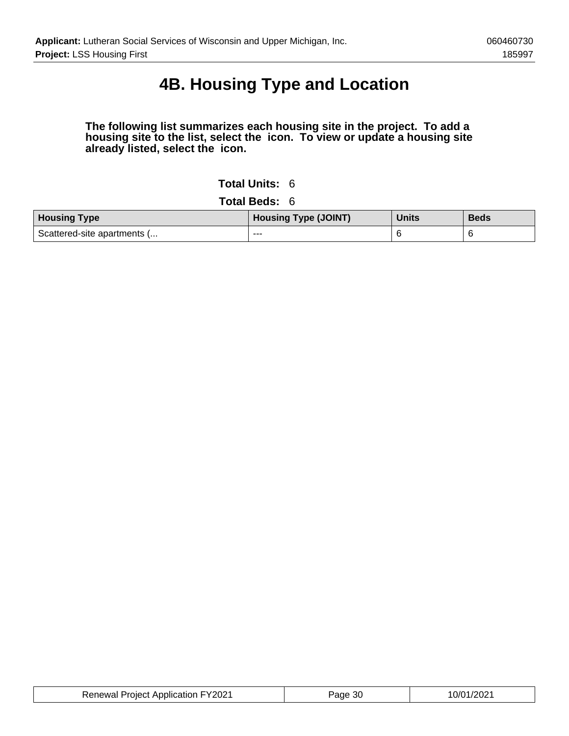# **4B. Housing Type and Location**

#### **The following list summarizes each housing site in the project. To add a housing site to the list, select the icon. To view or update a housing site already listed, select the icon.**

**Total Units:** 6

**Total Beds:** 6

| <b>Housing Type</b>         | <b>Housing Type (JOINT)</b> | <b>Units</b> | <b>Beds</b> |
|-----------------------------|-----------------------------|--------------|-------------|
| Scattered-site apartments ( | ---                         |              |             |

| <b>Renewal Project Application FY2021</b> | Page 30 | 10/01/2021 |
|-------------------------------------------|---------|------------|
|-------------------------------------------|---------|------------|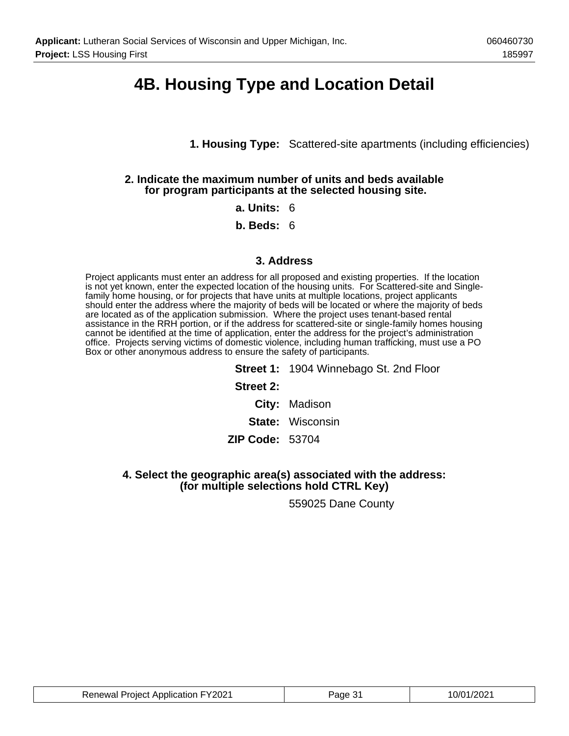### **4B. Housing Type and Location Detail**

**1. Housing Type:** Scattered-site apartments (including efficiencies)

#### **2. Indicate the maximum number of units and beds available for program participants at the selected housing site.**

#### **a. Units:** 6

**b. Beds:** 6

#### **3. Address**

Project applicants must enter an address for all proposed and existing properties. If the location is not yet known, enter the expected location of the housing units. For Scattered-site and Singlefamily home housing, or for projects that have units at multiple locations, project applicants should enter the address where the majority of beds will be located or where the majority of beds are located as of the application submission. Where the project uses tenant-based rental assistance in the RRH portion, or if the address for scattered-site or single-family homes housing cannot be identified at the time of application, enter the address for the project's administration office. Projects serving victims of domestic violence, including human trafficking, must use a PO Box or other anonymous address to ensure the safety of participants.

> **Street 1:** 1904 Winnebago St. 2nd Floor **Street 2: City:** Madison **State:** Wisconsin **ZIP Code:** 53704

**4. Select the geographic area(s) associated with the address: (for multiple selections hold CTRL Key)**

559025 Dane County

| <b>Renewal Project Application FY2021</b> | Page 31 | 10/01/2021 |
|-------------------------------------------|---------|------------|
|-------------------------------------------|---------|------------|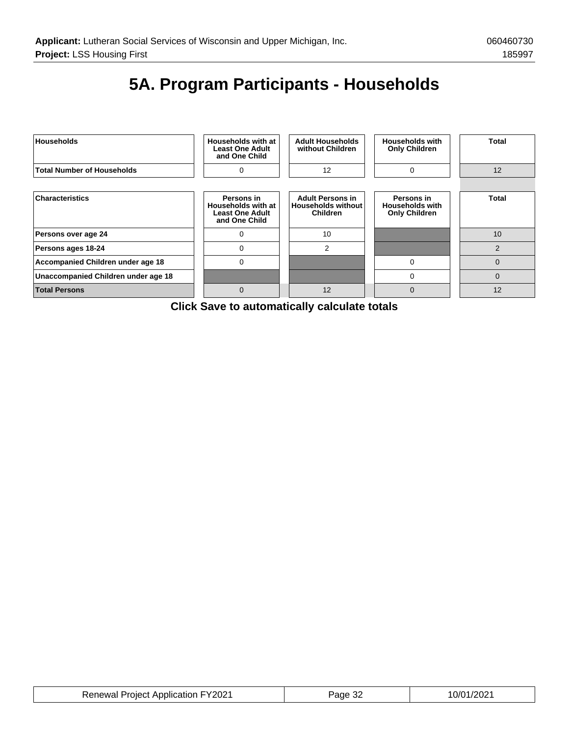# **5A. Program Participants - Households**



**Click Save to automatically calculate totals**

| <b>Renewal Project Application FY2021</b> | Page 32 | 10/01/2021 |
|-------------------------------------------|---------|------------|
|-------------------------------------------|---------|------------|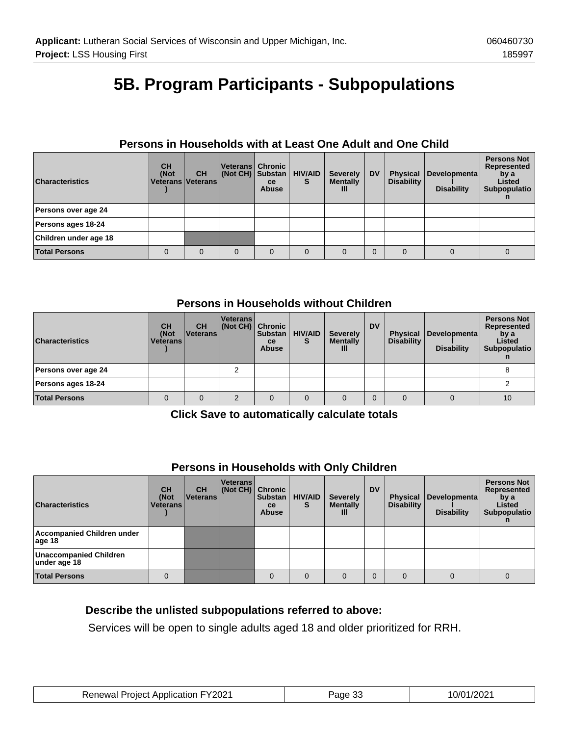# **5B. Program Participants - Subpopulations**

| <b>Characteristics</b> | <b>CH</b><br>(Not<br><b>Veterans</b> | <b>CH</b><br>Veterans | Veterans Chronic<br>(Not CH) Substan | ce<br><b>Abuse</b> | <b>HIV/AID</b><br>S | <b>Severely</b><br><b>Mentally</b><br>Ш | <b>DV</b> | Physical Developmenta<br><b>Disability</b> | <b>Persons Not</b><br>Represented<br>by a<br>Listed<br>Subpopulatio |
|------------------------|--------------------------------------|-----------------------|--------------------------------------|--------------------|---------------------|-----------------------------------------|-----------|--------------------------------------------|---------------------------------------------------------------------|
| Persons over age 24    |                                      |                       |                                      |                    |                     |                                         |           |                                            |                                                                     |
| Persons ages 18-24     |                                      |                       |                                      |                    |                     |                                         |           |                                            |                                                                     |
| Children under age 18  |                                      |                       |                                      |                    |                     |                                         |           |                                            |                                                                     |
| <b>Total Persons</b>   | $\mathbf{0}$                         | $\Omega$              | 0                                    |                    | $\mathbf 0$         |                                         | $\Omega$  | $\mathbf 0$                                | 0                                                                   |

### **Persons in Households with at Least One Adult and One Child**

### **Persons in Households without Children**

| <b>Characteristics</b> | <b>CH</b><br>(Not<br><b>Veterans</b> | <b>CH</b><br><b>IVeterans</b> | <b>Veterans</b><br>(Not CH) Chronic | <b>Substan</b><br>ce<br><b>Abuse</b> | <b>HIV/AID</b><br>S | <b>Severely</b><br><b>Mentally</b><br>Ш | <b>DV</b> | <b>Disability</b> | Physical   Developmenta  <br><b>Disability</b> | <b>Persons Not</b><br>Represented<br>by a<br>Listed<br><b>Subpopulatio</b> |
|------------------------|--------------------------------------|-------------------------------|-------------------------------------|--------------------------------------|---------------------|-----------------------------------------|-----------|-------------------|------------------------------------------------|----------------------------------------------------------------------------|
| Persons over age 24    |                                      |                               |                                     |                                      |                     |                                         |           |                   |                                                |                                                                            |
| Persons ages 18-24     |                                      |                               |                                     |                                      |                     |                                         |           |                   |                                                |                                                                            |
| <b>Total Persons</b>   |                                      |                               |                                     |                                      | $\Omega$            |                                         |           |                   |                                                | 10                                                                         |

**Click Save to automatically calculate totals**

### **Persons in Households with Only Children**

| <b>Characteristics</b>                 | <b>CH</b><br>(Not<br><b>Veterans</b> | CH<br><b>Veterans</b> | Veterans<br>$ $ (Not CH) $ $ | <b>Chronic</b><br><b>Substan</b><br>ce<br><b>Abuse</b> | <b>HIV/AID</b><br>s | <b>Severely</b><br><b>Mentally</b><br>Ш | <b>DV</b> | <b>Physical</b><br><b>Disability</b> | Developmenta<br><b>Disability</b> | <b>Persons Not</b><br>Represented<br>by a<br>Listed<br>Subpopulatio |
|----------------------------------------|--------------------------------------|-----------------------|------------------------------|--------------------------------------------------------|---------------------|-----------------------------------------|-----------|--------------------------------------|-----------------------------------|---------------------------------------------------------------------|
| Accompanied Children under<br>age 18   |                                      |                       |                              |                                                        |                     |                                         |           |                                      |                                   |                                                                     |
| Unaccompanied Children<br>under age 18 |                                      |                       |                              |                                                        |                     |                                         |           |                                      |                                   |                                                                     |
| <b>Total Persons</b>                   |                                      |                       |                              | $\Omega$                                               | $\Omega$            | $\Omega$                                |           |                                      |                                   |                                                                     |

### **Describe the unlisted subpopulations referred to above:**

Services will be open to single adults aged 18 and older prioritized for RRH.

| <b>Renewal Project Application FY2021</b> | Page 33 | 10/01/2021 |
|-------------------------------------------|---------|------------|
|-------------------------------------------|---------|------------|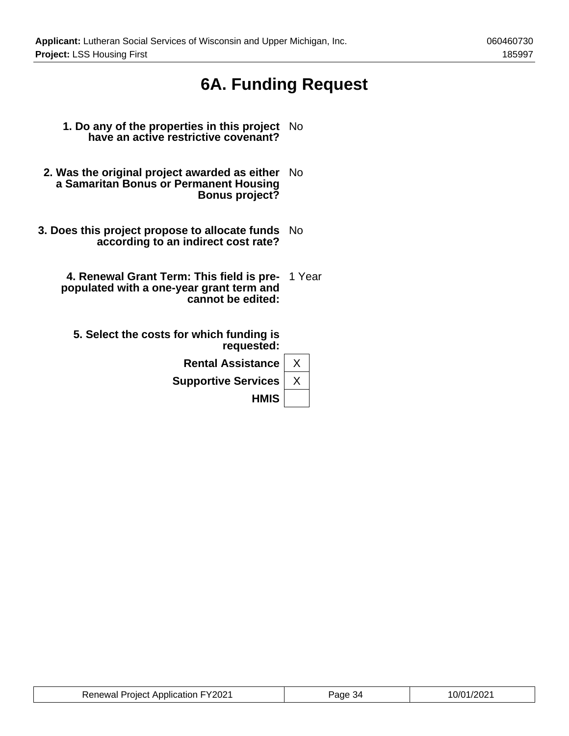# **6A. Funding Request**

- **1. Do any of the properties in this project have an active restrictive covenant?** No
- **2. Was the original project awarded as either** No **a Samaritan Bonus or Permanent Housing Bonus project?**
- **3. Does this project propose to allocate funds according to an indirect cost rate?** No
	- **4. Renewal Grant Term: This field is pre-**1 Year **populated with a one-year grant term and cannot be edited:**
		- **5. Select the costs for which funding is requested:**

| Rental Assistance   X               |  |
|-------------------------------------|--|
| Supportive Services $\mid$ $\times$ |  |
| HMIS                                |  |

| <b>Renewal Project Application FY2021</b> | 'age | 10/01/2021 |
|-------------------------------------------|------|------------|
|-------------------------------------------|------|------------|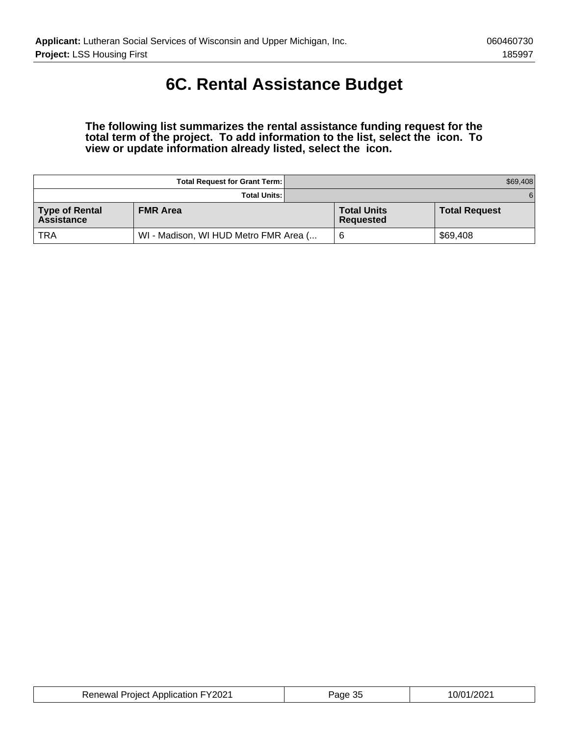# **6C. Rental Assistance Budget**

#### **The following list summarizes the rental assistance funding request for the total term of the project. To add information to the list, select the icon. To view or update information already listed, select the icon.**

|                                     | <b>Total Request for Grant Term:</b>  |  |                                 | \$69,408             |
|-------------------------------------|---------------------------------------|--|---------------------------------|----------------------|
|                                     | <b>Total Units:</b>                   |  |                                 |                      |
| Type of Rental<br><b>Assistance</b> | <b>FMR Area</b>                       |  | <b>Total Units</b><br>Requested | <b>Total Request</b> |
| <b>TRA</b>                          | WI - Madison, WI HUD Metro FMR Area ( |  | 6                               | \$69,408             |

| <b>Renewal Project Application FY2021</b> | Page 35 | 10/01/2021 |
|-------------------------------------------|---------|------------|
|-------------------------------------------|---------|------------|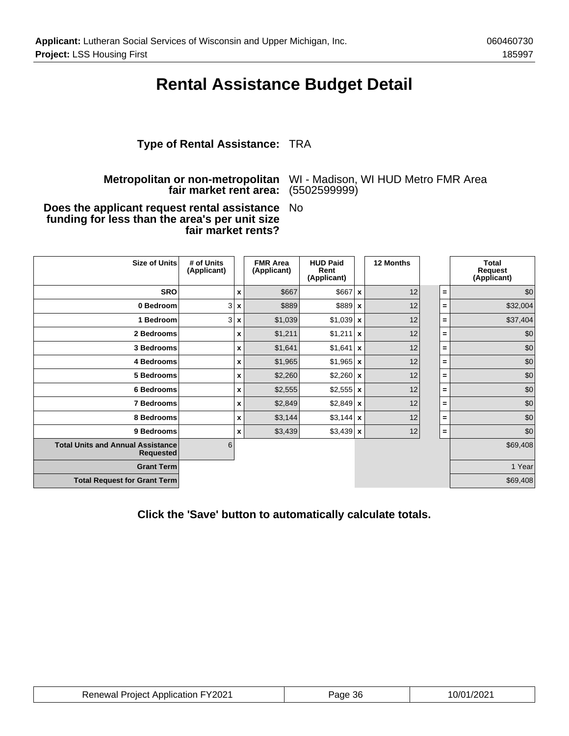### **Rental Assistance Budget Detail**

### **Type of Rental Assistance:** TRA

#### **Metropolitan or non-metropolitan fair market rent area:**

WI - Madison, WI HUD Metro FMR Area (5502599999)

#### **Does the applicant request rental assistance funding for less than the area's per unit size fair market rents?** No

| <b>Size of Units</b>                                         | # of Units<br>(Applicant) |                           | <b>FMR Area</b><br>(Applicant) | <b>HUD Paid</b><br>Rent<br>(Applicant) | 12 Months |     | <b>Total</b><br>Request<br>(Applicant) |
|--------------------------------------------------------------|---------------------------|---------------------------|--------------------------------|----------------------------------------|-----------|-----|----------------------------------------|
| <b>SRO</b>                                                   |                           | $\boldsymbol{\mathsf{x}}$ | \$667                          | $$667$ $\times$                        | 12        | $=$ | \$0                                    |
| 0 Bedroom                                                    |                           | 3x                        | \$889                          | $$889$ $x$                             | 12        | =   | \$32,004                               |
| 1 Bedroom                                                    | $\overline{3}$            | l x                       | \$1,039                        | $$1,039$ x                             | 12        | =   | \$37,404                               |
| 2 Bedrooms                                                   |                           | $\mathbf{x}$              | \$1,211                        | $$1,211$ x                             | 12        | =   | \$0                                    |
| 3 Bedrooms                                                   |                           | X                         | \$1,641                        | $$1,641$ x                             | 12        | =   | \$0                                    |
| 4 Bedrooms                                                   |                           | $\pmb{\chi}$              | \$1,965                        | $$1,965$ $x$                           | 12        | =   | \$0                                    |
| 5 Bedrooms                                                   |                           | X                         | \$2,260                        | $$2,260$ x                             | 12        | $=$ | \$0                                    |
| 6 Bedrooms                                                   |                           | $\boldsymbol{x}$          | \$2,555                        | $$2,555$ $x$                           | 12        | Ξ   | \$0                                    |
| 7 Bedrooms                                                   |                           | $\mathbf x$               | \$2,849                        | $$2,849$ x                             | 12        | $=$ | \$0                                    |
| 8 Bedrooms                                                   |                           | X                         | \$3,144                        | $$3,144$ $\times$                      | 12        | Ξ   | \$0                                    |
| 9 Bedrooms                                                   |                           | X                         | \$3,439                        | $$3,439$ x                             | 12        | $=$ | \$0                                    |
| <b>Total Units and Annual Assistance</b><br><b>Requested</b> | 6                         |                           |                                |                                        |           |     | \$69,408                               |
| <b>Grant Term</b>                                            |                           |                           |                                |                                        |           |     | 1 Year                                 |
| <b>Total Request for Grant Term</b>                          |                           |                           |                                |                                        |           |     | \$69,408                               |

**Click the 'Save' button to automatically calculate totals.**

| <b>Renewal Project Application FY2021</b> | <sup>5</sup> age 36 | 10/01/2021 |
|-------------------------------------------|---------------------|------------|
|-------------------------------------------|---------------------|------------|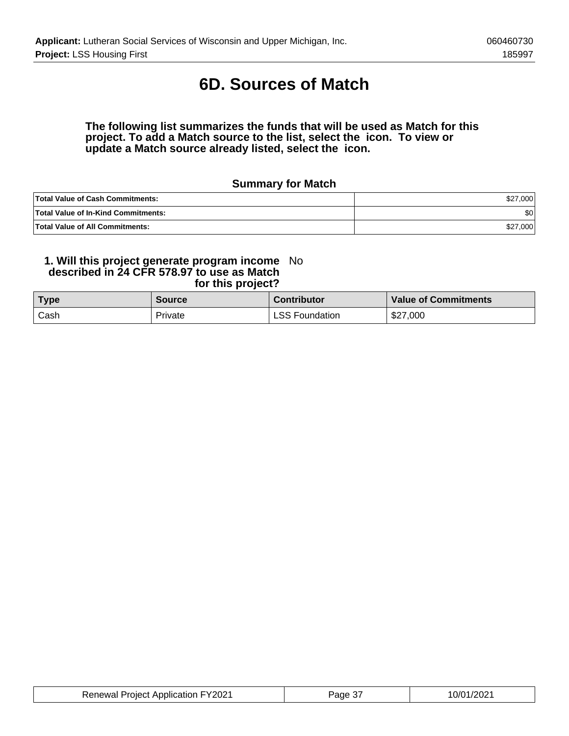# **6D. Sources of Match**

#### **The following list summarizes the funds that will be used as Match for this project. To add a Match source to the list, select the icon. To view or update a Match source already listed, select the icon.**

### **Summary for Match**

| <b>Total Value of Cash Commitments:</b>    | \$27,000 |
|--------------------------------------------|----------|
| <b>Total Value of In-Kind Commitments:</b> | \$0      |
| <b>Total Value of All Commitments:</b>     | \$27,000 |

#### **1. Will this project generate program income described in 24 CFR 578.97 to use as Match for this project?** No

| <b>Type</b> | <b>Source</b> | <b>Contributor</b>    | <b>Value of Commitments</b> |
|-------------|---------------|-----------------------|-----------------------------|
| Cash        | Private       | <b>LSS Foundation</b> | \$27,000                    |

| <b>Renewal Project Application FY2021</b> | Page 37 | 10/01/2021 |
|-------------------------------------------|---------|------------|
|-------------------------------------------|---------|------------|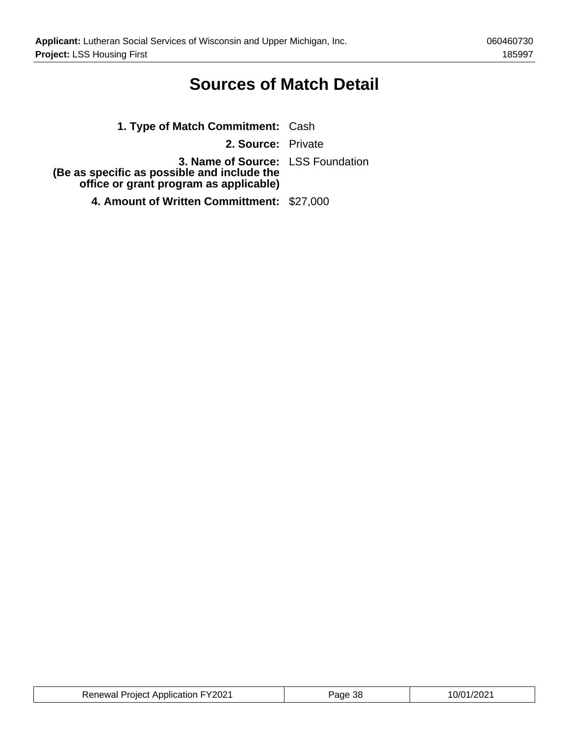# **Sources of Match Detail**

| 1. Type of Match Commitment: Cash                                                                                          |  |
|----------------------------------------------------------------------------------------------------------------------------|--|
| 2. Source: Private                                                                                                         |  |
| 3. Name of Source: LSS Foundation<br>(Be as specific as possible and include the<br>office or grant program as applicable) |  |
| 4. Amount of Written Committment: \$27,000                                                                                 |  |

| <b>Renewal Project Application FY2021</b> | Page 38 | 10/01/2021 |
|-------------------------------------------|---------|------------|
|-------------------------------------------|---------|------------|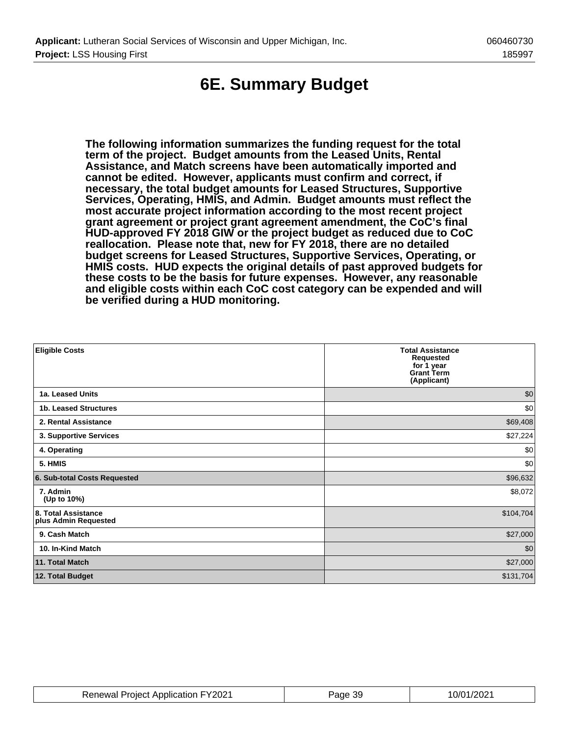# **6E. Summary Budget**

**The following information summarizes the funding request for the total term of the project. Budget amounts from the Leased Units, Rental Assistance, and Match screens have been automatically imported and cannot be edited. However, applicants must confirm and correct, if necessary, the total budget amounts for Leased Structures, Supportive Services, Operating, HMIS, and Admin. Budget amounts must reflect the most accurate project information according to the most recent project grant agreement or project grant agreement amendment, the CoC's final HUD-approved FY 2018 GIW or the project budget as reduced due to CoC reallocation. Please note that, new for FY 2018, there are no detailed budget screens for Leased Structures, Supportive Services, Operating, or HMIS costs. HUD expects the original details of past approved budgets for these costs to be the basis for future expenses. However, any reasonable and eligible costs within each CoC cost category can be expended and will be verified during a HUD monitoring.**

| <b>Eligible Costs</b>                       | <b>Total Assistance</b><br><b>Requested</b><br>for 1 year<br><b>Grant Term</b><br>(Applicant) |
|---------------------------------------------|-----------------------------------------------------------------------------------------------|
| 1a. Leased Units                            | \$0                                                                                           |
| 1b. Leased Structures                       | \$0                                                                                           |
| 2. Rental Assistance                        | \$69,408                                                                                      |
| 3. Supportive Services                      | \$27,224                                                                                      |
| 4. Operating                                | \$0                                                                                           |
| 5. HMIS                                     | \$0                                                                                           |
| 6. Sub-total Costs Requested                | \$96,632                                                                                      |
| 7. Admin<br>(Up to 10%)                     | \$8,072                                                                                       |
| 8. Total Assistance<br>plus Admin Requested | \$104,704                                                                                     |
| 9. Cash Match                               | \$27,000                                                                                      |
| 10. In-Kind Match                           | \$0                                                                                           |
| 11. Total Match                             | \$27,000                                                                                      |
| 12. Total Budget                            | \$131,704                                                                                     |

| <b>Renewal Project Application FY2021</b> | Page 39 | 10/01/2021 |
|-------------------------------------------|---------|------------|
|-------------------------------------------|---------|------------|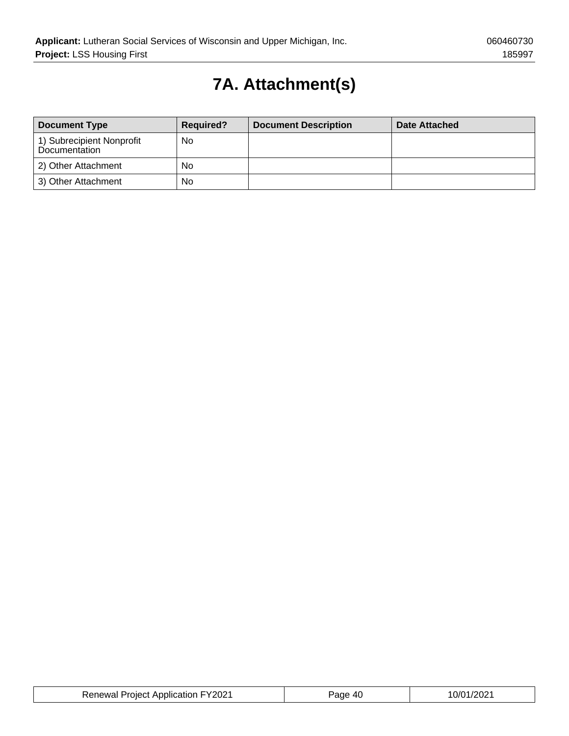# **7A. Attachment(s)**

| <b>Document Type</b>                       | <b>Required?</b> | <b>Document Description</b> | Date Attached |
|--------------------------------------------|------------------|-----------------------------|---------------|
| 1) Subrecipient Nonprofit<br>Documentation | No               |                             |               |
| 2) Other Attachment                        | No               |                             |               |
| 3) Other Attachment                        | No               |                             |               |

| <b>Renewal Project Application FY2021</b> | Page 40 | 10/01/2021 |
|-------------------------------------------|---------|------------|
|-------------------------------------------|---------|------------|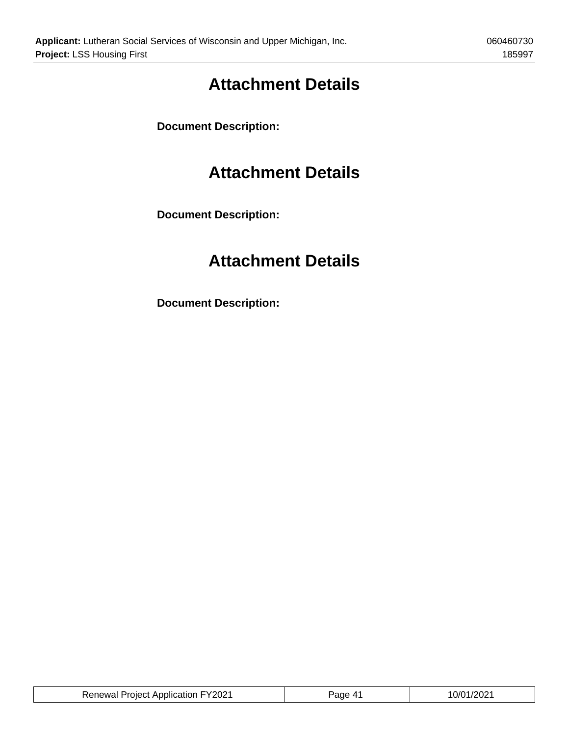# **Attachment Details**

**Document Description:**

### **Attachment Details**

**Document Description:**

# **Attachment Details**

**Document Description:**

|  | <b>Renewal Project Application FY2021</b> | Page 41 | 10/01/2021 |
|--|-------------------------------------------|---------|------------|
|--|-------------------------------------------|---------|------------|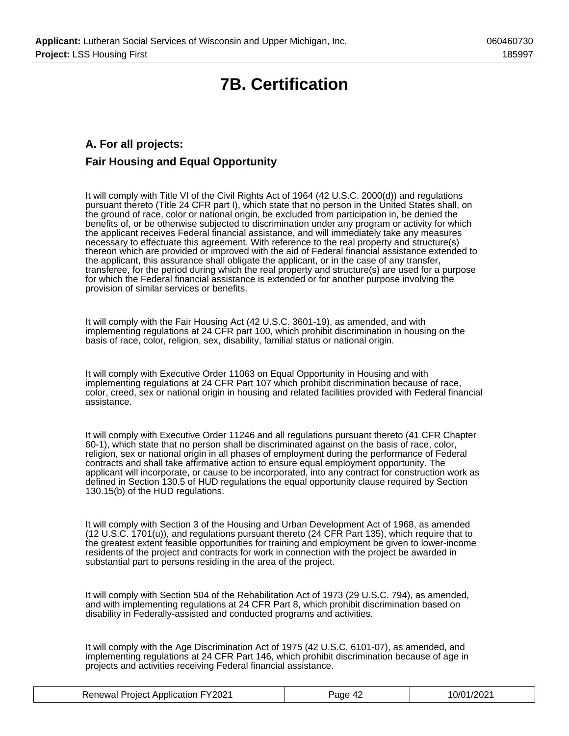# **7B. Certification**

### **A. For all projects: Fair Housing and Equal Opportunity**

It will comply with Title VI of the Civil Rights Act of 1964 (42 U.S.C. 2000(d)) and regulations pursuant thereto (Title 24 CFR part I), which state that no person in the United States shall, on the ground of race, color or national origin, be excluded from participation in, be denied the benefits of, or be otherwise subjected to discrimination under any program or activity for which the applicant receives Federal financial assistance, and will immediately take any measures necessary to effectuate this agreement. With reference to the real property and structure(s) thereon which are provided or improved with the aid of Federal financial assistance extended to the applicant, this assurance shall obligate the applicant, or in the case of any transfer, transferee, for the period during which the real property and structure(s) are used for a purpose for which the Federal financial assistance is extended or for another purpose involving the provision of similar services or benefits.

It will comply with the Fair Housing Act (42 U.S.C. 3601-19), as amended, and with implementing regulations at 24 CFR part 100, which prohibit discrimination in housing on the basis of race, color, religion, sex, disability, familial status or national origin.

It will comply with Executive Order 11063 on Equal Opportunity in Housing and with implementing regulations at 24 CFR Part 107 which prohibit discrimination because of race, color, creed, sex or national origin in housing and related facilities provided with Federal financial assistance.

It will comply with Executive Order 11246 and all regulations pursuant thereto (41 CFR Chapter 60-1), which state that no person shall be discriminated against on the basis of race, color, religion, sex or national origin in all phases of employment during the performance of Federal contracts and shall take affirmative action to ensure equal employment opportunity. The applicant will incorporate, or cause to be incorporated, into any contract for construction work as defined in Section 130.5 of HUD regulations the equal opportunity clause required by Section 130.15(b) of the HUD regulations.

It will comply with Section 3 of the Housing and Urban Development Act of 1968, as amended (12 U.S.C. 1701(u)), and regulations pursuant thereto (24 CFR Part 135), which require that to the greatest extent feasible opportunities for training and employment be given to lower-income residents of the project and contracts for work in connection with the project be awarded in substantial part to persons residing in the area of the project.

It will comply with Section 504 of the Rehabilitation Act of 1973 (29 U.S.C. 794), as amended, and with implementing regulations at 24 CFR Part 8, which prohibit discrimination based on disability in Federally-assisted and conducted programs and activities.

It will comply with the Age Discrimination Act of 1975 (42 U.S.C. 6101-07), as amended, and implementing regulations at 24 CFR Part 146, which prohibit discrimination because of age in projects and activities receiving Federal financial assistance.

| <b>Renewal Project Application FY2021</b> | Page 42 | 10/01/2021 |
|-------------------------------------------|---------|------------|
|-------------------------------------------|---------|------------|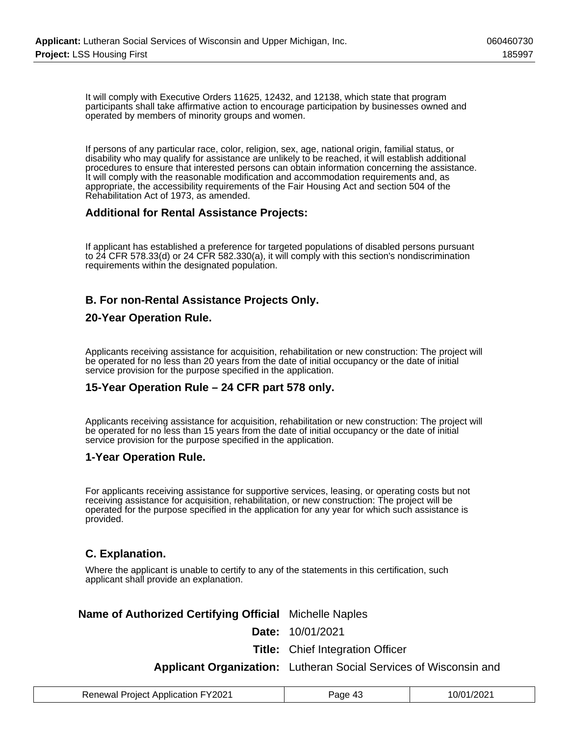It will comply with Executive Orders 11625, 12432, and 12138, which state that program participants shall take affirmative action to encourage participation by businesses owned and operated by members of minority groups and women.

If persons of any particular race, color, religion, sex, age, national origin, familial status, or disability who may qualify for assistance are unlikely to be reached, it will establish additional procedures to ensure that interested persons can obtain information concerning the assistance. It will comply with the reasonable modification and accommodation requirements and, as appropriate, the accessibility requirements of the Fair Housing Act and section 504 of the Rehabilitation Act of 1973, as amended.

### **Additional for Rental Assistance Projects:**

If applicant has established a preference for targeted populations of disabled persons pursuant to 24 CFR 578.33(d) or 24 CFR 582.330(a), it will comply with this section's nondiscrimination requirements within the designated population.

### **B. For non-Rental Assistance Projects Only.**

#### **20-Year Operation Rule.**

Applicants receiving assistance for acquisition, rehabilitation or new construction: The project will be operated for no less than 20 years from the date of initial occupancy or the date of initial service provision for the purpose specified in the application.

### **15-Year Operation Rule – 24 CFR part 578 only.**

Applicants receiving assistance for acquisition, rehabilitation or new construction: The project will be operated for no less than 15 years from the date of initial occupancy or the date of initial service provision for the purpose specified in the application.

#### **1-Year Operation Rule.**

For applicants receiving assistance for supportive services, leasing, or operating costs but not receiving assistance for acquisition, rehabilitation, or new construction: The project will be operated for the purpose specified in the application for any year for which such assistance is provided.

#### **C. Explanation.**

Where the applicant is unable to certify to any of the statements in this certification, such applicant shall provide an explanation.

### **Name of Authorized Certifying Official** Michelle Naples

**Date:** 10/01/2021

**Title:** Chief Integration Officer

#### **Applicant Organization:** Lutheran Social Services of Wisconsin and

| <b>Renewal Project Application FY2021</b> | Page 43 | 10/01/2021 |
|-------------------------------------------|---------|------------|
|-------------------------------------------|---------|------------|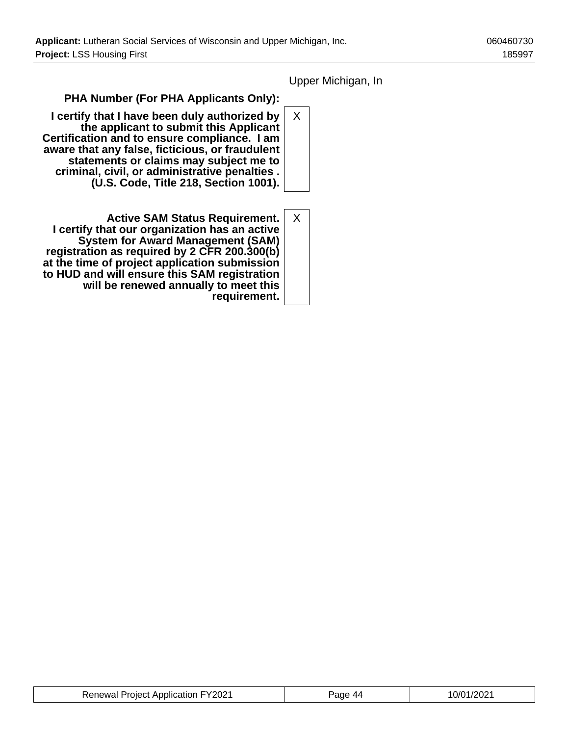Upper Michigan, In

### **PHA Number (For PHA Applicants Only):**

**I certify that I have been duly authorized by the applicant to submit this Applicant Certification and to ensure compliance. I am aware that any false, ficticious, or fraudulent statements or claims may subject me to criminal, civil, or administrative penalties . (U.S. Code, Title 218, Section 1001).** X

**Active SAM Status Requirement. I certify that our organization has an active System for Award Management (SAM) registration as required by 2 CFR 200.300(b) at the time of project application submission to HUD and will ensure this SAM registration will be renewed annually to meet this requirement.** X

| <b>Renewal Project Application FY2021</b> | Page 44 | 10/01/2021 |
|-------------------------------------------|---------|------------|
|-------------------------------------------|---------|------------|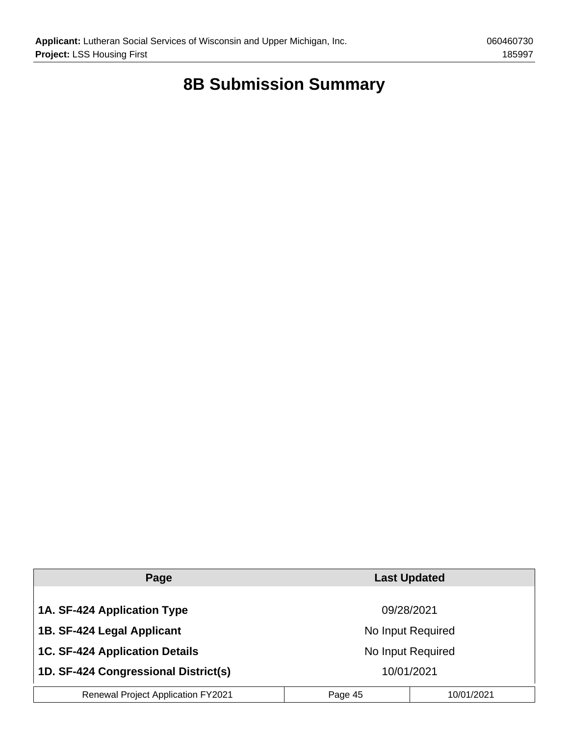# **8B Submission Summary**

| Page                                      | <b>Last Updated</b>   |  |
|-------------------------------------------|-----------------------|--|
|                                           |                       |  |
| 1A. SF-424 Application Type               | 09/28/2021            |  |
| 1B. SF-424 Legal Applicant                | No Input Required     |  |
| <b>1C. SF-424 Application Details</b>     | No Input Required     |  |
| 1D. SF-424 Congressional District(s)      | 10/01/2021            |  |
| <b>Renewal Project Application FY2021</b> | Page 45<br>10/01/2021 |  |